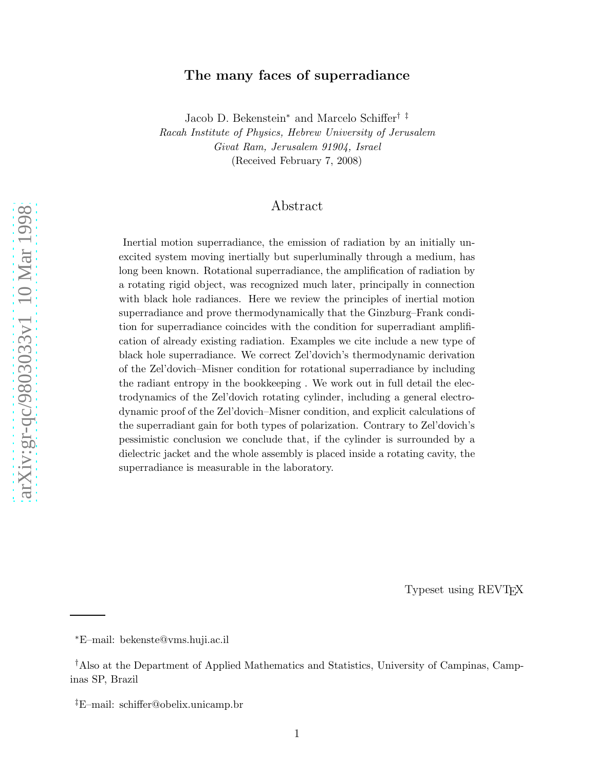# The many faces of superradiance

Jacob D. Bekenstein <sup>∗</sup> and Marcelo Schiffer† ‡ Racah Institute of Physics, Hebrew University of Jerusalem Givat Ram, Jerusalem 91904, Israel (Received February 7, 2008)

# Abstract

Inertial motion superradiance, the emission of radiation by an initially unexcited system moving inertially but superluminally through a medium, has long been known. Rotational superradiance, the amplification of radiation by a rotating rigid object, was recognized much later, principally in connection with black hole radiances. Here we review the principles of inertial motion superradiance and prove thermodynamically that the Ginzburg–Frank condition for superradiance coincides with the condition for superradiant amplification of already existing radiation. Examples we cite include a new type of black hole superradiance. We correct Zel'dovich's thermodynamic derivation of the Zel'dovich–Misner condition for rotational superradiance by including the radiant entropy in the bookkeeping . We work out in full detail the electrodynamics of the Zel'dovich rotating cylinder, including a general electrodynamic proof of the Zel'dovich–Misner condition, and explicit calculations of the superradiant gain for both types of polarization. Contrary to Zel'dovich's pessimistic conclusion we conclude that, if the cylinder is surrounded by a dielectric jacket and the whole assembly is placed inside a rotating cavity, the superradiance is measurable in the laboratory.

Typeset using REVTEX

<sup>∗</sup>E–mail: bekenste@vms.huji.ac.il

<sup>†</sup>Also at the Department of Applied Mathematics and Statistics, University of Campinas, Campinas SP, Brazil

<sup>‡</sup>E–mail: schiffer@obelix.unicamp.br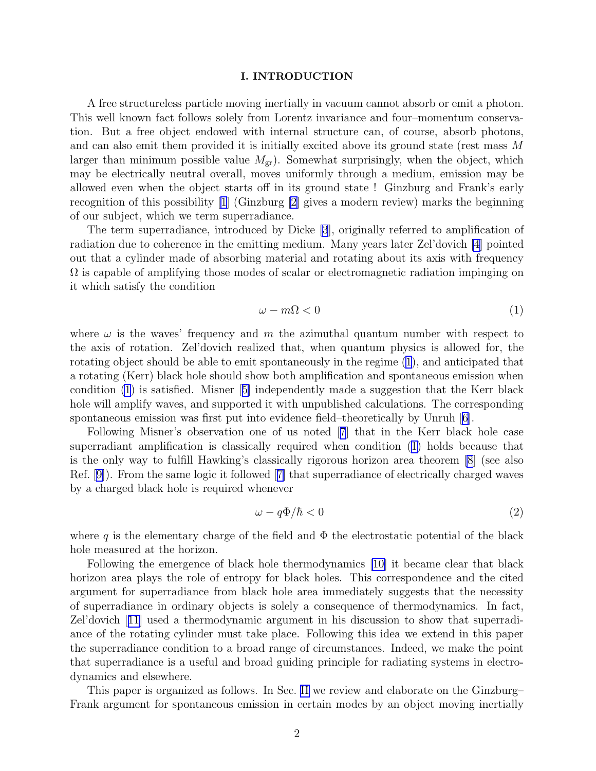### I. INTRODUCTION

<span id="page-1-0"></span>A free structureless particle moving inertially in vacuum cannot absorb or emit a photon. This well known fact follows solely from Lorentz invariance and four–momentum conservation. But a free object endowed with internal structure can, of course, absorb photons, and can also emit them provided it is initially excited above its ground state (rest mass M larger than minimum possible value  $M_{\rm gr}$ ). Somewhat surprisingly, when the object, which may be electrically neutral overall, moves uniformly through a medium, emission may be allowed even when the object starts off in its ground state ! Ginzburg and Frank's early recognition of this possibility [\[1\]](#page-23-0) (Ginzburg [\[2\]](#page-23-0) gives a modern review) marks the beginning of our subject, which we term superradiance.

The term superradiance, introduced by Dicke [\[3](#page-23-0)], originally referred to amplification of radiation due to coherence in the emitting medium. Many years later Zel'dovich [\[4](#page-23-0)] pointed out that a cylinder made of absorbing material and rotating about its axis with frequency  $\Omega$  is capable of amplifying those modes of scalar or electromagnetic radiation impinging on it which satisfy the condition

$$
\omega - m\Omega < 0 \tag{1}
$$

where  $\omega$  is the waves' frequency and m the azimuthal quantum number with respect to the axis of rotation. Zel'dovich realized that, when quantum physics is allowed for, the rotating object should be able to emit spontaneously in the regime (1), and anticipated that a rotating (Kerr) black hole should show both amplification and spontaneous emission when condition (1) is satisfied. Misner[[5\]](#page-23-0) independently made a suggestion that the Kerr black hole will amplify waves, and supported it with unpublished calculations. The corresponding spontaneous emission was first put into evidence field–theoretically by Unruh [\[6](#page-23-0)].

Following Misner's observation one of us noted[[7](#page-23-0)] that in the Kerr black hole case superradiant amplification is classically required when condition (1) holds because that is the only way to fulfill Hawking's classically rigorous horizon area theorem [\[8](#page-23-0)] (see also Ref. [\[9](#page-23-0)]). From the same logic it followed[[7\]](#page-23-0) that superradiance of electrically charged waves by a charged black hole is required whenever

$$
\omega - q\Phi/\hbar < 0\tag{2}
$$

where q is the elementary charge of the field and  $\Phi$  the electrostatic potential of the black hole measured at the horizon.

Following the emergence of black hole thermodynamics [\[10\]](#page-23-0) it became clear that black horizon area plays the role of entropy for black holes. This correspondence and the cited argument for superradiance from black hole area immediately suggests that the necessity of superradiance in ordinary objects is solely a consequence of thermodynamics. In fact, Zel'dovich[[11](#page-23-0)] used a thermodynamic argument in his discussion to show that superradiance of the rotating cylinder must take place. Following this idea we extend in this paper the superradiance condition to a broad range of circumstances. Indeed, we make the point that superradiance is a useful and broad guiding principle for radiating systems in electrodynamics and elsewhere.

This paper is organized as follows. In Sec. [II](#page-2-0) we review and elaborate on the Ginzburg– Frank argument for spontaneous emission in certain modes by an object moving inertially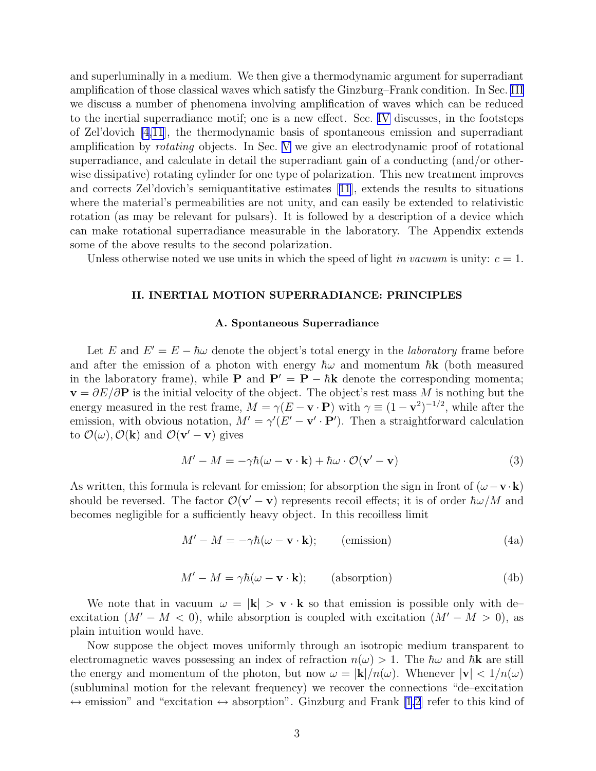<span id="page-2-0"></span>and superluminally in a medium. We then give a thermodynamic argument for superradiant amplification of those classical waves which satisfy the Ginzburg–Frank condition. In Sec. [III](#page-5-0) we discuss a number of phenomena involving amplification of waves which can be reduced to the inertial superradiance motif; one is a new effect. Sec. [IV](#page-9-0) discusses, in the footsteps of Zel'dovich [\[4,11](#page-23-0)], the thermodynamic basis of spontaneous emission and superradiant amplification by rotating objects. In Sec. [V](#page-11-0) we give an electrodynamic proof of rotational superradiance, and calculate in detail the superradiant gain of a conducting (and/or otherwise dissipative) rotating cylinder for one type of polarization. This new treatment improves and corrects Zel'dovich's semiquantitative estimates[[11](#page-23-0)], extends the results to situations where the material's permeabilities are not unity, and can easily be extended to relativistic rotation (as may be relevant for pulsars). It is followed by a description of a device which can make rotational superradiance measurable in the laboratory. The Appendix extends some of the above results to the second polarization.

Unless otherwise noted we use units in which the speed of light in vacuum is unity:  $c = 1$ .

## II. INERTIAL MOTION SUPERRADIANCE: PRINCIPLES

#### A. Spontaneous Superradiance

Let E and  $E' = E - \hbar \omega$  denote the object's total energy in the *laboratory* frame before and after the emission of a photon with energy  $\hbar\omega$  and momentum  $\hbar\mathbf{k}$  (both measured in the laboratory frame), while **P** and  $P' = P - \hbar k$  denote the corresponding momenta;  $\mathbf{v} = \partial E/\partial \mathbf{P}$  is the initial velocity of the object. The object's rest mass M is nothing but the energy measured in the rest frame,  $M = \gamma (E - \mathbf{v} \cdot \mathbf{P})$  with  $\gamma \equiv (1 - \mathbf{v}^2)^{-1/2}$ , while after the emission, with obvious notation,  $M' = \gamma'(E' - \mathbf{v}' \cdot \mathbf{P}')$ . Then a straightforward calculation to  $\mathcal{O}(\omega)$ ,  $\mathcal{O}(\mathbf{k})$  and  $\mathcal{O}(\mathbf{v}' - \mathbf{v})$  gives

$$
M' - M = -\gamma \hbar (\omega - \mathbf{v} \cdot \mathbf{k}) + \hbar \omega \cdot \mathcal{O}(\mathbf{v}' - \mathbf{v})
$$
 (3)

As written, this formula is relevant for emission; for absorption the sign in front of  $(\omega - \mathbf{v} \cdot \mathbf{k})$ should be reversed. The factor  $\mathcal{O}(\mathbf{v}' - \mathbf{v})$  represents recoil effects; it is of order  $\hbar \omega / M$  and becomes negligible for a sufficiently heavy object. In this recoilless limit

$$
M' - M = -\gamma \hbar (\omega - \mathbf{v} \cdot \mathbf{k}); \qquad \text{(emission)} \tag{4a}
$$

$$
M' - M = \gamma \hbar (\omega - \mathbf{v} \cdot \mathbf{k}); \qquad \text{(absorption)} \tag{4b}
$$

We note that in vacuum  $\omega = |\mathbf{k}| > \mathbf{v} \cdot \mathbf{k}$  so that emission is possible only with deexcitation  $(M' - M < 0)$ , while absorption is coupled with excitation  $(M' - M > 0)$ , as plain intuition would have.

Now suppose the object moves uniformly through an isotropic medium transparent to electromagnetic waves possessing an index of refraction  $n(\omega) > 1$ . The  $\hbar \omega$  and  $\hbar \mathbf{k}$  are still the energy and momentum of the photon, but now  $\omega = |\mathbf{k}|/n(\omega)$ . Whenever  $|\mathbf{v}| < 1/n(\omega)$ (subluminal motion for the relevant frequency) we recover the connections "de–excitation  $\leftrightarrow$  emission" and "excitation  $\leftrightarrow$  absorption". Ginzburg and Frank [\[1,2](#page-23-0)] refer to this kind of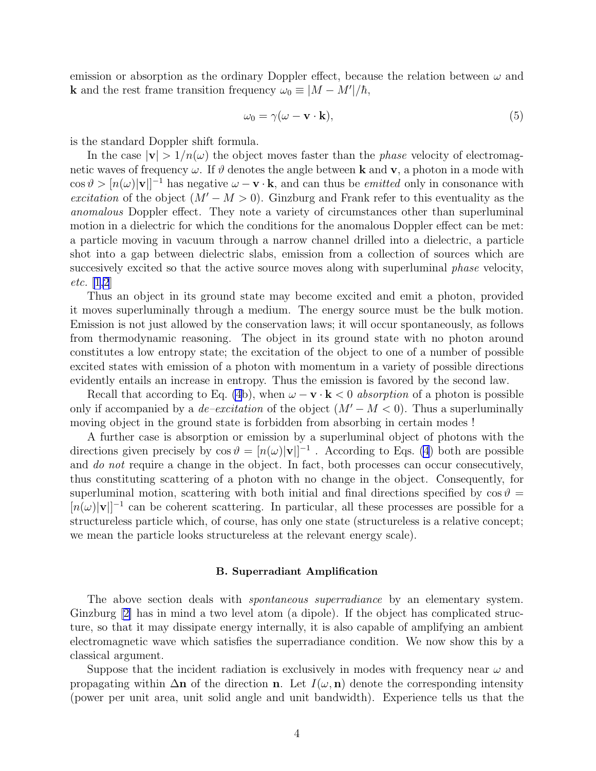<span id="page-3-0"></span>emission or absorption as the ordinary Doppler effect, because the relation between  $\omega$  and **k** and the rest frame transition frequency  $\omega_0 \equiv |M - M'|/\hbar$ ,

$$
\omega_0 = \gamma(\omega - \mathbf{v} \cdot \mathbf{k}),\tag{5}
$$

is the standard Doppler shift formula.

In the case  $|v| > 1/n(\omega)$  the object moves faster than the *phase* velocity of electromagnetic waves of frequency  $\omega$ . If  $\vartheta$  denotes the angle between **k** and **v**, a photon in a mode with  $\cos \vartheta > [n(\omega)|\mathbf{v}|]^{-1}$  has negative  $\omega - \mathbf{v} \cdot \mathbf{k}$ , and can thus be *emitted* only in consonance with excitation of the object  $(M' - M > 0)$ . Ginzburg and Frank refer to this eventuality as the anomalous Doppler effect. They note a variety of circumstances other than superluminal motion in a dielectric for which the conditions for the anomalous Doppler effect can be met: a particle moving in vacuum through a narrow channel drilled into a dielectric, a particle shot into a gap between dielectric slabs, emission from a collection of sources which are succesively excited so that the active source moves along with superluminal *phase* velocity, etc. [\[1,2](#page-23-0)]

Thus an object in its ground state may become excited and emit a photon, provided it moves superluminally through a medium. The energy source must be the bulk motion. Emission is not just allowed by the conservation laws; it will occur spontaneously, as follows from thermodynamic reasoning. The object in its ground state with no photon around constitutes a low entropy state; the excitation of the object to one of a number of possible excited states with emission of a photon with momentum in a variety of possible directions evidently entails an increase in entropy. Thus the emission is favored by the second law.

Recall that according to Eq. [\(4](#page-2-0)b), when  $\omega - \mathbf{v} \cdot \mathbf{k} < 0$  absorption of a photon is possible only if accompanied by a *de–excitation* of the object  $(M'-M< 0)$ . Thus a superluminally moving object in the ground state is forbidden from absorbing in certain modes !

A further case is absorption or emission by a superluminal object of photons with the directions given precisely by  $\cos \theta = [n(\omega)|\mathbf{v}|]^{-1}$ . According to Eqs. [\(4](#page-2-0)) both are possible and do not require a change in the object. In fact, both processes can occur consecutively, thus constituting scattering of a photon with no change in the object. Consequently, for superluminal motion, scattering with both initial and final directions specified by  $\cos \theta =$  $[n(\omega)|\mathbf{v}|]^{-1}$  can be coherent scattering. In particular, all these processes are possible for a structureless particle which, of course, has only one state (structureless is a relative concept; we mean the particle looks structureless at the relevant energy scale).

### B. Superradiant Amplification

The above section deals with *spontaneous superradiance* by an elementary system. Ginzburg[[2\]](#page-23-0) has in mind a two level atom (a dipole). If the object has complicated structure, so that it may dissipate energy internally, it is also capable of amplifying an ambient electromagnetic wave which satisfies the superradiance condition. We now show this by a classical argument.

Suppose that the incident radiation is exclusively in modes with frequency near  $\omega$  and propagating within  $\Delta n$  of the direction n. Let  $I(\omega, n)$  denote the corresponding intensity (power per unit area, unit solid angle and unit bandwidth). Experience tells us that the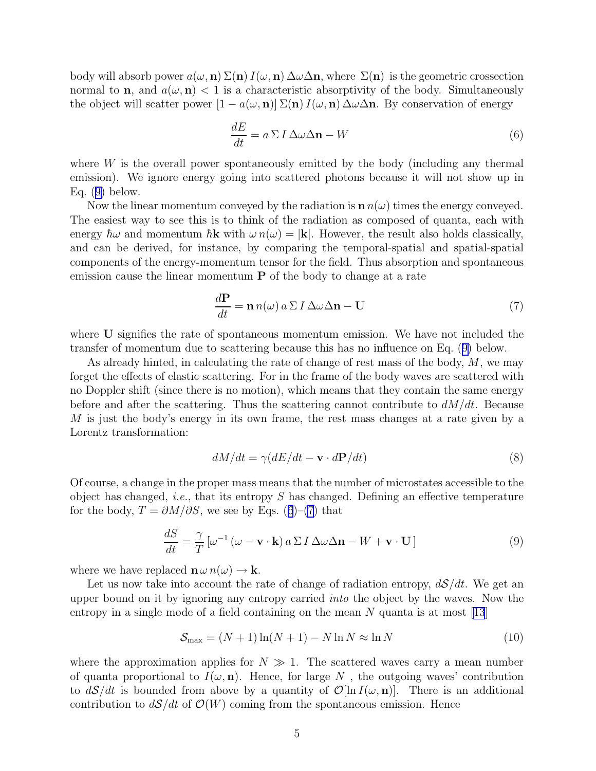<span id="page-4-0"></span>body will absorb power  $a(\omega, n) \Sigma(n) I(\omega, n) \Delta \omega \Delta n$ , where  $\Sigma(n)$  is the geometric crossection normal to **n**, and  $a(\omega, \mathbf{n}) < 1$  is a characteristic absorptivity of the body. Simultaneously the object will scatter power  $[1 - a(\omega, n)] \Sigma(n) I(\omega, n) \Delta\omega\Delta n$ . By conservation of energy

$$
\frac{dE}{dt} = a \Sigma I \Delta \omega \Delta \mathbf{n} - W \tag{6}
$$

where W is the overall power spontaneously emitted by the body (including any thermal emission). We ignore energy going into scattered photons because it will not show up in Eq.  $(9)$  below.

Now the linear momentum conveyed by the radiation is  $\mathbf{n} \cdot \mathbf{n}(\omega)$  times the energy conveyed. The easiest way to see this is to think of the radiation as composed of quanta, each with energy  $\hbar\omega$  and momentum  $\hbar\mathbf{k}$  with  $\omega n(\omega) = |\mathbf{k}|$ . However, the result also holds classically, and can be derived, for instance, by comparing the temporal-spatial and spatial-spatial components of the energy-momentum tensor for the field. Thus absorption and spontaneous emission cause the linear momentum  $P$  of the body to change at a rate

$$
\frac{d\mathbf{P}}{dt} = \mathbf{n} n(\omega) a \Sigma I \Delta \omega \Delta \mathbf{n} - \mathbf{U}
$$
\n(7)

where U signifies the rate of spontaneous momentum emission. We have not included the transfer of momentum due to scattering because this has no influence on Eq. (9) below.

As already hinted, in calculating the rate of change of rest mass of the body,  $M$ , we may forget the effects of elastic scattering. For in the frame of the body waves are scattered with no Doppler shift (since there is no motion), which means that they contain the same energy before and after the scattering. Thus the scattering cannot contribute to  $dM/dt$ . Because M is just the body's energy in its own frame, the rest mass changes at a rate given by a Lorentz transformation:

$$
dM/dt = \gamma (dE/dt - \mathbf{v} \cdot d\mathbf{P}/dt)
$$
\n(8)

Of course, a change in the proper mass means that the number of microstates accessible to the object has changed, *i.e.*, that its entropy  $S$  has changed. Defining an effective temperature for the body,  $T = \partial M / \partial S$ , we see by Eqs. (6)–(7) that

$$
\frac{dS}{dt} = \frac{\gamma}{T} \left[ \omega^{-1} \left( \omega - \mathbf{v} \cdot \mathbf{k} \right) a \Sigma I \Delta \omega \Delta \mathbf{n} - W + \mathbf{v} \cdot \mathbf{U} \right]
$$
(9)

where we have replaced  $\mathbf{n} \omega n(\omega) \rightarrow \mathbf{k}$ .

Let us now take into account the rate of change of radiation entropy,  $d\mathcal{S}/dt$ . We get an upper bound on it by ignoring any entropy carried *into* the object by the waves. Now the entropyin a single mode of a field containing on the mean  $N$  quanta is at most [[13](#page-23-0)]

$$
S_{\text{max}} = (N+1)\ln(N+1) - N\ln N \approx \ln N \tag{10}
$$

where the approximation applies for  $N \gg 1$ . The scattered waves carry a mean number of quanta proportional to  $I(\omega, \mathbf{n})$ . Hence, for large N, the outgoing waves' contribution to  $dS/dt$  is bounded from above by a quantity of  $\mathcal{O}[\ln I(\omega, \mathbf{n})]$ . There is an additional contribution to  $dS/dt$  of  $\mathcal{O}(W)$  coming from the spontaneous emission. Hence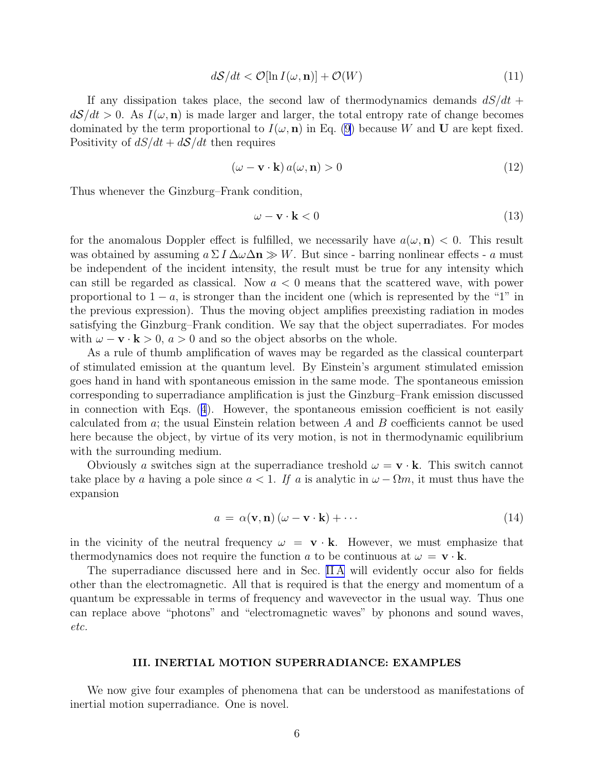$$
d\mathcal{S}/dt < \mathcal{O}[\ln I(\omega, \mathbf{n})] + \mathcal{O}(W) \tag{11}
$$

<span id="page-5-0"></span>If any dissipation takes place, the second law of thermodynamics demands  $dS/dt$  +  $d\mathcal{S}/dt > 0$ . As  $I(\omega, \mathbf{n})$  is made larger and larger, the total entropy rate of change becomes dominated by the term proportional to  $I(\omega, \mathbf{n})$  in Eq. [\(9](#page-4-0)) because W and U are kept fixed. Positivity of  $dS/dt + dS/dt$  then requires

$$
(\omega - \mathbf{v} \cdot \mathbf{k}) a(\omega, \mathbf{n}) > 0
$$
\n(12)

Thus whenever the Ginzburg–Frank condition,

$$
\omega - \mathbf{v} \cdot \mathbf{k} < 0 \tag{13}
$$

for the anomalous Doppler effect is fulfilled, we necessarily have  $a(\omega, \mathbf{n}) < 0$ . This result was obtained by assuming  $a \Sigma I \Delta \omega \Delta n \gg W$ . But since - barring nonlinear effects - a must be independent of the incident intensity, the result must be true for any intensity which can still be regarded as classical. Now  $a < 0$  means that the scattered wave, with power proportional to  $1 - a$ , is stronger than the incident one (which is represented by the "1" in the previous expression). Thus the moving object amplifies preexisting radiation in modes satisfying the Ginzburg–Frank condition. We say that the object superradiates. For modes with  $\omega - \mathbf{v} \cdot \mathbf{k} > 0$ ,  $a > 0$  and so the object absorbs on the whole.

As a rule of thumb amplification of waves may be regarded as the classical counterpart of stimulated emission at the quantum level. By Einstein's argument stimulated emission goes hand in hand with spontaneous emission in the same mode. The spontaneous emission corresponding to superradiance amplification is just the Ginzburg–Frank emission discussed in connection with Eqs. ([4](#page-2-0)). However, the spontaneous emission coefficient is not easily calculated from a; the usual Einstein relation between A and B coefficients cannot be used here because the object, by virtue of its very motion, is not in thermodynamic equilibrium with the surrounding medium.

Obviously a switches sign at the superradiance treshold  $\omega = \mathbf{v} \cdot \mathbf{k}$ . This switch cannot take place by a having a pole since  $a < 1$ . If a is analytic in  $\omega - \Omega m$ , it must thus have the expansion

$$
a = \alpha(\mathbf{v}, \mathbf{n}) (\omega - \mathbf{v} \cdot \mathbf{k}) + \cdots
$$
 (14)

in the vicinity of the neutral frequency  $\omega = \mathbf{v} \cdot \mathbf{k}$ . However, we must emphasize that thermodynamics does not require the function a to be continuous at  $\omega = \mathbf{v} \cdot \mathbf{k}$ .

The superradiance discussed here and in Sec. [II A](#page-2-0) will evidently occur also for fields other than the electromagnetic. All that is required is that the energy and momentum of a quantum be expressable in terms of frequency and wavevector in the usual way. Thus one can replace above "photons" and "electromagnetic waves" by phonons and sound waves, etc.

## III. INERTIAL MOTION SUPERRADIANCE: EXAMPLES

We now give four examples of phenomena that can be understood as manifestations of inertial motion superradiance. One is novel.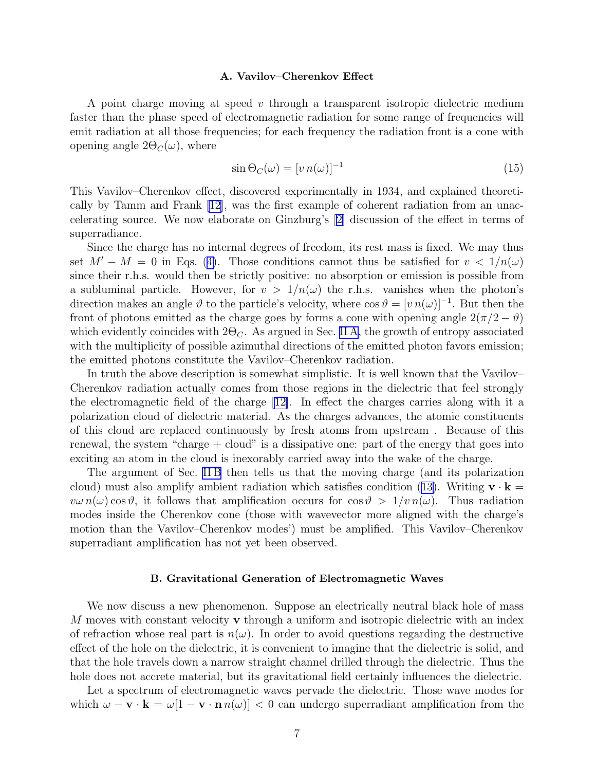#### A. Vavilov–Cherenkov Effect

A point charge moving at speed v through a transparent isotropic dielectric medium faster than the phase speed of electromagnetic radiation for some range of frequencies will emit radiation at all those frequencies; for each frequency the radiation front is a cone with opening angle  $2\Theta_C(\omega)$ , where

$$
\sin \Theta_C(\omega) = [v \, n(\omega)]^{-1} \tag{15}
$$

This Vavilov–Cherenkov effect, discovered experimentally in 1934, and explained theoretically by Tamm and Frank [\[12\]](#page-23-0), was the first example of coherent radiation from an unaccelerating source. We now elaborate on Ginzburg's[[2\]](#page-23-0) discussion of the effect in terms of superradiance.

Since the charge has no internal degrees of freedom, its rest mass is fixed. We may thus set  $M' - M = 0$  in Eqs. ([4\)](#page-2-0). Those conditions cannot thus be satisfied for  $v < 1/n(\omega)$ since their r.h.s. would then be strictly positive: no absorption or emission is possible from a subluminal particle. However, for  $v > 1/n(\omega)$  the r.h.s. vanishes when the photon's direction makes an angle  $\vartheta$  to the particle's velocity, where  $\cos \vartheta = [v \, n(\omega)]^{-1}$ . But then the front of photons emitted as the charge goes by forms a cone with opening angle  $2(\pi/2 - \vartheta)$ which evidently coincides with  $2\Theta_C$ . As argued in Sec. [II A](#page-2-0), the growth of entropy associated with the multiplicity of possible azimuthal directions of the emitted photon favors emission; the emitted photons constitute the Vavilov–Cherenkov radiation.

In truth the above description is somewhat simplistic. It is well known that the Vavilov– Cherenkov radiation actually comes from those regions in the dielectric that feel strongly the electromagnetic field of the charge [\[12\]](#page-23-0). In effect the charges carries along with it a polarization cloud of dielectric material. As the charges advances, the atomic constituents of this cloud are replaced continuously by fresh atoms from upstream . Because of this renewal, the system "charge  $+$  cloud" is a dissipative one: part of the energy that goes into exciting an atom in the cloud is inexorably carried away into the wake of the charge.

The argument of Sec. IIB then tells us that the moving charge (and its polarization cloud) must also amplify ambient radiation which satisfies condition ([13\)](#page-5-0). Writing  $\mathbf{v} \cdot \mathbf{k} =$  $v\omega \, n(\omega) \cos \vartheta$ , it follows that amplification occurs for  $\cos \vartheta > 1/v \, n(\omega)$ . Thus radiation modes inside the Cherenkov cone (those with wavevector more aligned with the charge's motion than the Vavilov–Cherenkov modes') must be amplified. This Vavilov–Cherenkov superradiant amplification has not yet been observed.

### B. Gravitational Generation of Electromagnetic Waves

We now discuss a new phenomenon. Suppose an electrically neutral black hole of mass  $M$  moves with constant velocity **v** through a uniform and isotropic dielectric with an index of refraction whose real part is  $n(\omega)$ . In order to avoid questions regarding the destructive effect of the hole on the dielectric, it is convenient to imagine that the dielectric is solid, and that the hole travels down a narrow straight channel drilled through the dielectric. Thus the hole does not accrete material, but its gravitational field certainly influences the dielectric.

Let a spectrum of electromagnetic waves pervade the dielectric. Those wave modes for which  $\omega - \mathbf{v} \cdot \mathbf{k} = \omega[1 - \mathbf{v} \cdot \mathbf{n} n(\omega)] < 0$  can undergo superradiant amplification from the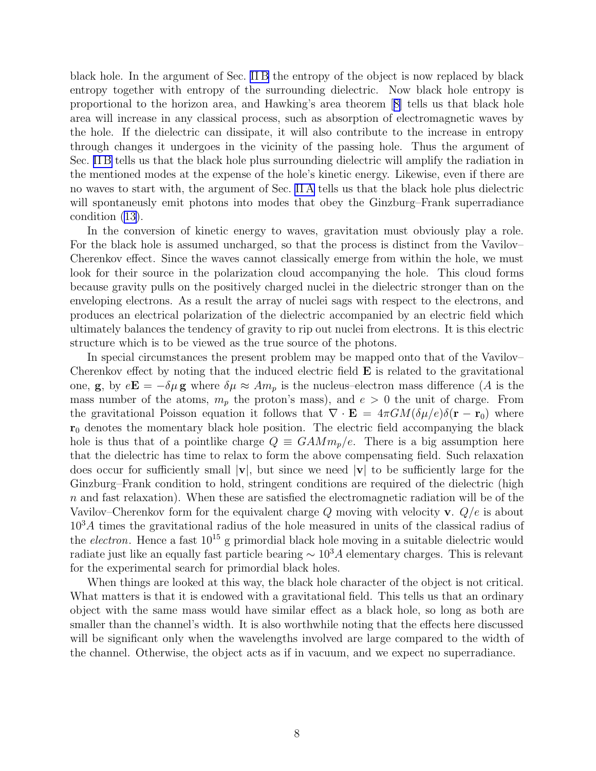black hole. In the argument of Sec. [II B](#page-3-0) the entropy of the object is now replaced by black entropy together with entropy of the surrounding dielectric. Now black hole entropy is proportional to the horizon area, and Hawking's area theorem[[8\]](#page-23-0) tells us that black hole area will increase in any classical process, such as absorption of electromagnetic waves by the hole. If the dielectric can dissipate, it will also contribute to the increase in entropy through changes it undergoes in the vicinity of the passing hole. Thus the argument of Sec. [II B](#page-3-0) tells us that the black hole plus surrounding dielectric will amplify the radiation in the mentioned modes at the expense of the hole's kinetic energy. Likewise, even if there are no waves to start with, the argument of Sec. [II A](#page-2-0) tells us that the black hole plus dielectric will spontaneusly emit photons into modes that obey the Ginzburg–Frank superradiance condition ([13\)](#page-5-0).

In the conversion of kinetic energy to waves, gravitation must obviously play a role. For the black hole is assumed uncharged, so that the process is distinct from the Vavilov– Cherenkov effect. Since the waves cannot classically emerge from within the hole, we must look for their source in the polarization cloud accompanying the hole. This cloud forms because gravity pulls on the positively charged nuclei in the dielectric stronger than on the enveloping electrons. As a result the array of nuclei sags with respect to the electrons, and produces an electrical polarization of the dielectric accompanied by an electric field which ultimately balances the tendency of gravity to rip out nuclei from electrons. It is this electric structure which is to be viewed as the true source of the photons.

In special circumstances the present problem may be mapped onto that of the Vavilov– Cherenkov effect by noting that the induced electric field  $E$  is related to the gravitational one, g, by  $e\mathbf{E} = -\delta\mu$  g where  $\delta\mu \approx Am_p$  is the nucleus–electron mass difference (A is the mass number of the atoms,  $m_p$  the proton's mass), and  $e > 0$  the unit of charge. From the gravitational Poisson equation it follows that  $\nabla \cdot \mathbf{E} = 4\pi GM(\delta \mu/e)\delta(\mathbf{r} - \mathbf{r}_0)$  where  $r_0$  denotes the momentary black hole position. The electric field accompanying the black hole is thus that of a pointlike charge  $Q \equiv GAMm_p/e$ . There is a big assumption here that the dielectric has time to relax to form the above compensating field. Such relaxation does occur for sufficiently small  $|v|$ , but since we need  $|v|$  to be sufficiently large for the Ginzburg–Frank condition to hold, stringent conditions are required of the dielectric (high n and fast relaxation). When these are satisfied the electromagnetic radiation will be of the Vavilov–Cherenkov form for the equivalent charge Q moving with velocity **v**.  $Q/e$  is about  $10<sup>3</sup>A$  times the gravitational radius of the hole measured in units of the classical radius of the *electron*. Hence a fast  $10^{15}$  g primordial black hole moving in a suitable dielectric would radiate just like an equally fast particle bearing  $\sim 10^3 A$  elementary charges. This is relevant for the experimental search for primordial black holes.

When things are looked at this way, the black hole character of the object is not critical. What matters is that it is endowed with a gravitational field. This tells us that an ordinary object with the same mass would have similar effect as a black hole, so long as both are smaller than the channel's width. It is also worthwhile noting that the effects here discussed will be significant only when the wavelengths involved are large compared to the width of the channel. Otherwise, the object acts as if in vacuum, and we expect no superradiance.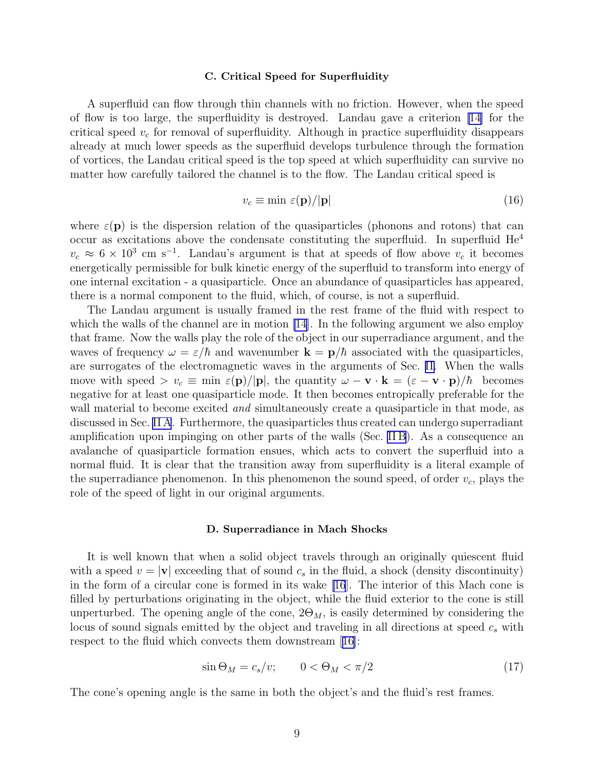### C. Critical Speed for Superfluidity

A superfluid can flow through thin channels with no friction. However, when the speed of flow is too large, the superfluidity is destroyed. Landau gave a criterion [\[14](#page-23-0)] for the critical speed  $v_c$  for removal of superfluidity. Although in practice superfluidity disappears already at much lower speeds as the superfluid develops turbulence through the formation of vortices, the Landau critical speed is the top speed at which superfluidity can survive no matter how carefully tailored the channel is to the flow. The Landau critical speed is

$$
v_c \equiv \min \, \varepsilon(\mathbf{p}) / |\mathbf{p}| \tag{16}
$$

where  $\varepsilon(\mathbf{p})$  is the dispersion relation of the quasiparticles (phonons and rotons) that can occur as excitations above the condensate constituting the superfluid. In superfluid He<sup>4</sup>  $v_c \approx 6 \times 10^3$  cm s<sup>-1</sup>. Landau's argument is that at speeds of flow above  $v_c$  it becomes energetically permissible for bulk kinetic energy of the superfluid to transform into energy of one internal excitation - a quasiparticle. Once an abundance of quasiparticles has appeared, there is a normal component to the fluid, which, of course, is not a superfluid.

The Landau argument is usually framed in the rest frame of the fluid with respect to which the walls of the channel are in motion [\[14](#page-23-0)]. In the following argument we also employ that frame. Now the walls play the role of the object in our superradiance argument, and the waves of frequency  $\omega = \varepsilon/\hbar$  and wavenumber  $\mathbf{k} = \mathbf{p}/\hbar$  associated with the quasiparticles, are surrogates of the electromagnetic waves in the arguments of Sec. [II.](#page-2-0) When the walls move with speed >  $v_c \equiv \min \varepsilon(\mathbf{p})/|\mathbf{p}|$ , the quantity  $\omega - \mathbf{v} \cdot \mathbf{k} = (\varepsilon - \mathbf{v} \cdot \mathbf{p})/\hbar$  becomes negative for at least one quasiparticle mode. It then becomes entropically preferable for the wall material to become excited *and* simultaneously create a quasiparticle in that mode, as discussed in Sec. [II A](#page-2-0). Furthermore, the quasiparticles thus created can undergo superradiant amplification upon impinging on other parts of the walls (Sec. [II B](#page-3-0)). As a consequence an avalanche of quasiparticle formation ensues, which acts to convert the superfluid into a normal fluid. It is clear that the transition away from superfluidity is a literal example of the superradiance phenomenon. In this phenomenon the sound speed, of order  $v_c$ , plays the role of the speed of light in our original arguments.

## D. Superradiance in Mach Shocks

It is well known that when a solid object travels through an originally quiescent fluid with a speed  $v = |\mathbf{v}|$  exceeding that of sound  $c_s$  in the fluid, a shock (density discontinuity) in the form of a circular cone is formed in its wake [\[16](#page-23-0)]. The interior of this Mach cone is filled by perturbations originating in the object, while the fluid exterior to the cone is still unperturbed. The opening angle of the cone,  $2\Theta_M$ , is easily determined by considering the locus of sound signals emitted by the object and traveling in all directions at speed  $c_s$  with respect to the fluid which convects them downstream[[16\]](#page-23-0):

$$
\sin \Theta_M = c_s/v; \qquad 0 < \Theta_M < \pi/2 \tag{17}
$$

The cone's opening angle is the same in both the object's and the fluid's rest frames.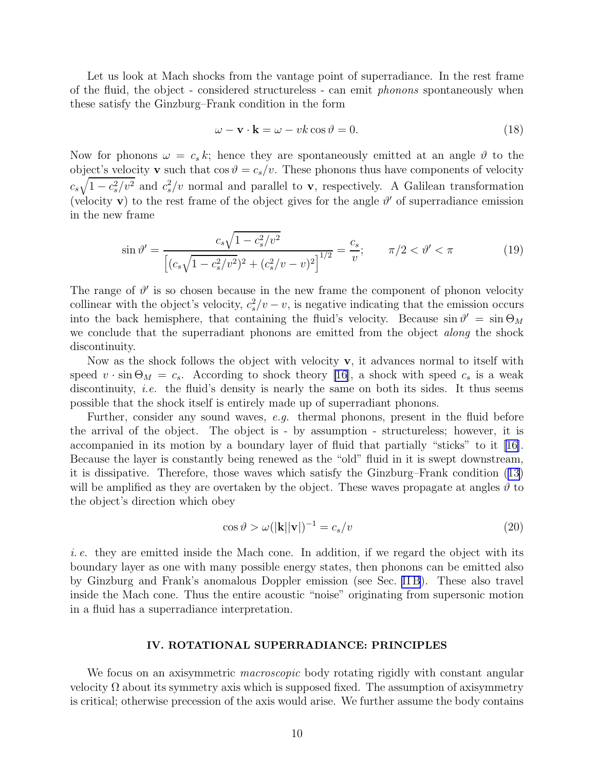<span id="page-9-0"></span>Let us look at Mach shocks from the vantage point of superradiance. In the rest frame of the fluid, the object - considered structureless - can emit phonons spontaneously when these satisfy the Ginzburg–Frank condition in the form

$$
\omega - \mathbf{v} \cdot \mathbf{k} = \omega - vk \cos \vartheta = 0. \tag{18}
$$

Now for phonons  $\omega = c_s k$ ; hence they are spontaneously emitted at an angle  $\vartheta$  to the object's velocity **v** such that  $\cos \theta = c_s/v$ . These phonons thus have components of velocity  $c_s\sqrt{1-c_s^2/v^2}$  and  $c_s^2/v$  normal and parallel to **v**, respectively. A Galilean transformation (velocity **v**) to the rest frame of the object gives for the angle  $\vartheta'$  of superradiance emission in the new frame

$$
\sin \vartheta' = \frac{c_s \sqrt{1 - c_s^2/v^2}}{\left[ (c_s \sqrt{1 - c_s^2/v^2})^2 + (c_s^2/v - v)^2 \right]^{1/2}} = \frac{c_s}{v}; \qquad \pi/2 < \vartheta' < \pi
$$
\n(19)

The range of  $\vartheta'$  is so chosen because in the new frame the component of phonon velocity collinear with the object's velocity,  $c_s^2/v - v$ , is negative indicating that the emission occurs into the back hemisphere, that containing the fluid's velocity. Because  $\sin \theta' = \sin \Theta_M$ we conclude that the superradiant phonons are emitted from the object *along* the shock discontinuity.

Now as the shock follows the object with velocity  $\bf{v}$ , it advances normal to itself with speed  $v \cdot \sin \Theta_M = c_s$ . According to shock theory [\[16\]](#page-23-0), a shock with speed  $c_s$  is a weak discontinuity, *i.e.* the fluid's density is nearly the same on both its sides. It thus seems possible that the shock itself is entirely made up of superradiant phonons.

Further, consider any sound waves, e.g. thermal phonons, present in the fluid before the arrival of the object. The object is - by assumption - structureless; however, it is accompanied in its motion by a boundary layer of fluid that partially "sticks" to it [\[16\]](#page-23-0). Because the layer is constantly being renewed as the "old" fluid in it is swept downstream, it is dissipative. Therefore, those waves which satisfy the Ginzburg–Frank condition [\(13\)](#page-5-0) will be amplified as they are overtaken by the object. These waves propagate at angles  $\vartheta$  to the object's direction which obey

$$
\cos \vartheta > \omega(|\mathbf{k}||\mathbf{v}|)^{-1} = c_s/v \tag{20}
$$

i. e. they are emitted inside the Mach cone. In addition, if we regard the object with its boundary layer as one with many possible energy states, then phonons can be emitted also by Ginzburg and Frank's anomalous Doppler emission (see Sec. [II B](#page-3-0)). These also travel inside the Mach cone. Thus the entire acoustic "noise" originating from supersonic motion in a fluid has a superradiance interpretation.

# IV. ROTATIONAL SUPERRADIANCE: PRINCIPLES

We focus on an axisymmetric *macroscopic* body rotating rigidly with constant angular velocity  $\Omega$  about its symmetry axis which is supposed fixed. The assumption of axisymmetry is critical; otherwise precession of the axis would arise. We further assume the body contains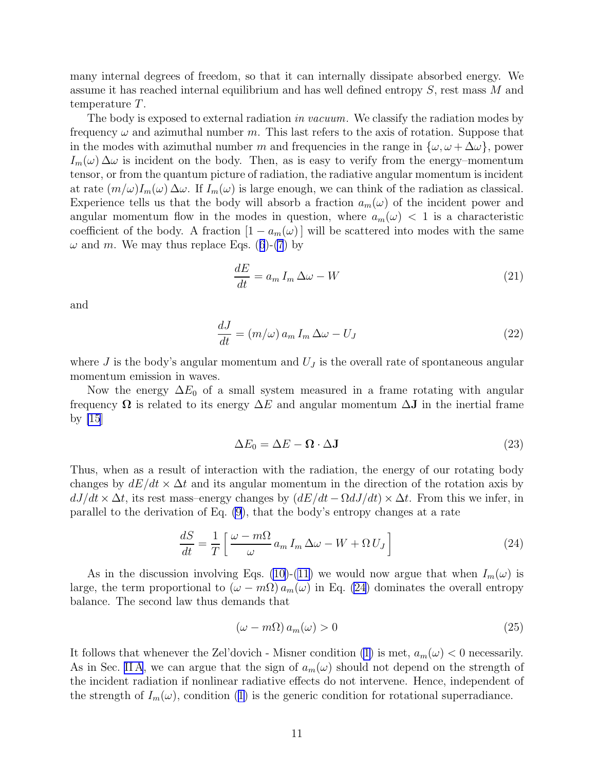<span id="page-10-0"></span>many internal degrees of freedom, so that it can internally dissipate absorbed energy. We assume it has reached internal equilibrium and has well defined entropy S, rest mass M and temperature T.

The body is exposed to external radiation in vacuum. We classify the radiation modes by frequency  $\omega$  and azimuthal number m. This last refers to the axis of rotation. Suppose that in the modes with azimuthal number m and frequencies in the range in  $\{\omega, \omega + \Delta\omega\}$ , power  $I_m(\omega) \Delta \omega$  is incident on the body. Then, as is easy to verify from the energy–momentum tensor, or from the quantum picture of radiation, the radiative angular momentum is incident at rate  $(m/\omega)I_m(\omega) \Delta \omega$ . If  $I_m(\omega)$  is large enough, we can think of the radiation as classical. Experience tells us that the body will absorb a fraction  $a_m(\omega)$  of the incident power and angular momentum flow in the modes in question, where  $a_m(\omega) < 1$  is a characteristic coefficient of the body. A fraction  $[1 - a_m(\omega)]$  will be scattered into modes with the same  $\omega$  and m. We may thus replace Eqs. ([6](#page-4-0))-[\(7](#page-4-0)) by

$$
\frac{dE}{dt} = a_m I_m \Delta \omega - W \tag{21}
$$

and

$$
\frac{dJ}{dt} = (m/\omega) a_m I_m \Delta \omega - U_J \tag{22}
$$

where  $J$  is the body's angular momentum and  $U_J$  is the overall rate of spontaneous angular momentum emission in waves.

Now the energy  $\Delta E_0$  of a small system measured in a frame rotating with angular frequency  $\Omega$  is related to its energy  $\Delta E$  and angular momentum  $\Delta J$  in the inertial frame by  $|15|$ 

$$
\Delta E_0 = \Delta E - \mathbf{\Omega} \cdot \Delta \mathbf{J} \tag{23}
$$

Thus, when as a result of interaction with the radiation, the energy of our rotating body changes by  $dE/dt \times \Delta t$  and its angular momentum in the direction of the rotation axis by  $dJ/dt \times \Delta t$ , its rest mass–energy changes by  $(dE/dt - \Omega dJ/dt) \times \Delta t$ . From this we infer, in parallel to the derivation of Eq. [\(9](#page-4-0)), that the body's entropy changes at a rate

$$
\frac{dS}{dt} = \frac{1}{T} \left[ \frac{\omega - m\Omega}{\omega} a_m I_m \Delta \omega - W + \Omega U_J \right]
$$
\n(24)

As in the discussion involving Eqs. [\(10\)](#page-4-0)-[\(11\)](#page-5-0) we would now argue that when  $I_m(\omega)$  is large, the term proportional to  $(\omega - m\Omega) a_m(\omega)$  in Eq. (24) dominates the overall entropy balance. The second law thus demands that

$$
(\omega - m\Omega) a_m(\omega) > 0 \tag{25}
$$

It follows that whenever the Zel'dovich - Misner condition [\(1\)](#page-1-0) is met,  $a_m(\omega) < 0$  necessarily. As in Sec. [II A](#page-2-0), we can argue that the sign of  $a_m(\omega)$  should not depend on the strength of the incident radiation if nonlinear radiative effects do not intervene. Hence, independent of the strength of  $I_m(\omega)$ , condition ([1\)](#page-1-0) is the generic condition for rotational superradiance.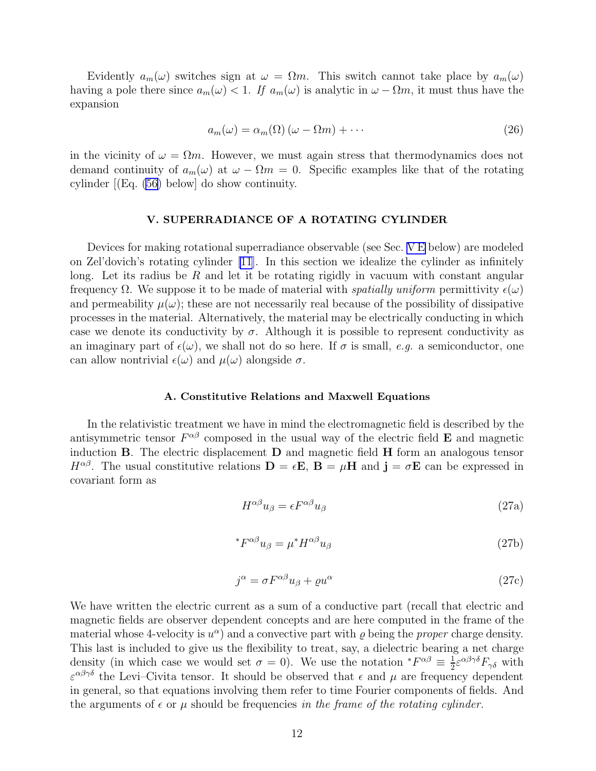<span id="page-11-0"></span>Evidently  $a_m(\omega)$  switches sign at  $\omega = \Omega m$ . This switch cannot take place by  $a_m(\omega)$ having a pole there since  $a_m(\omega) < 1$ . If  $a_m(\omega)$  is analytic in  $\omega - \Omega m$ , it must thus have the expansion

$$
a_m(\omega) = \alpha_m(\Omega) \left( \omega - \Omega m \right) + \cdots \tag{26}
$$

in the vicinity of  $\omega = \Omega m$ . However, we must again stress that thermodynamics does not demand continuity of  $a_m(\omega)$  at  $\omega - \Omega m = 0$ . Specific examples like that of the rotating cylinder [(Eq. [\(56](#page-19-0)) below] do show continuity.

# V. SUPERRADIANCE OF A ROTATING CYLINDER

Devices for making rotational superradiance observable (see Sec. [V E](#page-19-0) below) are modeled on Zel'dovich's rotating cylinder [\[11](#page-23-0)]. In this section we idealize the cylinder as infinitely long. Let its radius be R and let it be rotating rigidly in vacuum with constant angular frequency  $\Omega$ . We suppose it to be made of material with *spatially uniform* permittivity  $\epsilon(\omega)$ and permeability  $\mu(\omega)$ ; these are not necessarily real because of the possibility of dissipative processes in the material. Alternatively, the material may be electrically conducting in which case we denote its conductivity by  $\sigma$ . Although it is possible to represent conductivity as an imaginary part of  $\epsilon(\omega)$ , we shall not do so here. If  $\sigma$  is small, e.g. a semiconductor, one can allow nontrivial  $\epsilon(\omega)$  and  $\mu(\omega)$  alongside  $\sigma$ .

## A. Constitutive Relations and Maxwell Equations

In the relativistic treatment we have in mind the electromagnetic field is described by the antisymmetric tensor  $F^{\alpha\beta}$  composed in the usual way of the electric field **E** and magnetic induction B. The electric displacement D and magnetic field H form an analogous tensor  $H^{\alpha\beta}$ . The usual constitutive relations  $\mathbf{D} = \epsilon \mathbf{E}$ ,  $\mathbf{B} = \mu \mathbf{H}$  and  $\mathbf{j} = \sigma \mathbf{E}$  can be expressed in covariant form as

$$
H^{\alpha\beta}u_{\beta} = \epsilon F^{\alpha\beta}u_{\beta} \tag{27a}
$$

$$
{}^*F^{\alpha\beta}u_\beta = \mu^*H^{\alpha\beta}u_\beta \tag{27b}
$$

$$
j^{\alpha} = \sigma F^{\alpha\beta} u_{\beta} + \varrho u^{\alpha} \tag{27c}
$$

We have written the electric current as a sum of a conductive part (recall that electric and magnetic fields are observer dependent concepts and are here computed in the frame of the material whose 4-velocity is  $u^{\alpha}$  and a convective part with  $\varrho$  being the *proper* charge density. This last is included to give us the flexibility to treat, say, a dielectric bearing a net charge density (in which case we would set  $\sigma = 0$ ). We use the notation  $*F^{\alpha\beta} \equiv \frac{1}{2}$  $\frac{1}{2}$ ε<sup>αβγδ</sup> $F_{\gamma\delta}$  with  $\varepsilon^{\alpha\beta\gamma\delta}$  the Levi–Civita tensor. It should be observed that  $\epsilon$  and  $\mu$  are frequency dependent in general, so that equations involving them refer to time Fourier components of fields. And the arguments of  $\epsilon$  or  $\mu$  should be frequencies in the frame of the rotating cylinder.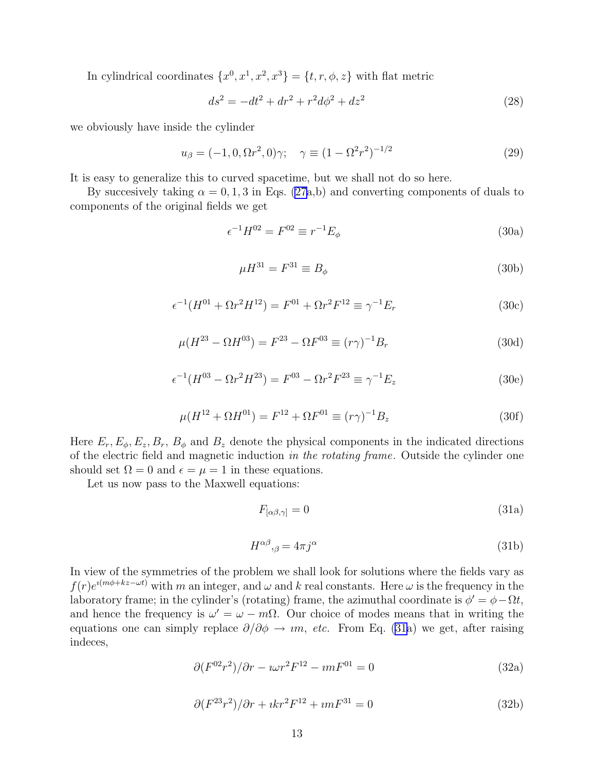<span id="page-12-0"></span>In cylindrical coordinates  $\{x^0, x^1, x^2, x^3\} = \{t, r, \phi, z\}$  with flat metric

$$
ds^{2} = -dt^{2} + dr^{2} + r^{2}d\phi^{2} + dz^{2}
$$
\n(28)

we obviously have inside the cylinder

$$
u_{\beta} = (-1, 0, \Omega r^2, 0)\gamma; \quad \gamma \equiv (1 - \Omega^2 r^2)^{-1/2}
$$
 (29)

It is easy to generalize this to curved spacetime, but we shall not do so here.

By succesively taking  $\alpha = 0, 1, 3$  in Eqs. [\(27](#page-11-0)a,b) and converting components of duals to components of the original fields we get

$$
\epsilon^{-1}H^{02} = F^{02} \equiv r^{-1}E_{\phi}
$$
\n(30a)

$$
\mu H^{31} = F^{31} \equiv B_{\phi} \tag{30b}
$$

$$
\epsilon^{-1}(H^{01} + \Omega r^2 H^{12}) = F^{01} + \Omega r^2 F^{12} \equiv \gamma^{-1} E_r \tag{30c}
$$

$$
\mu(H^{23} - \Omega H^{03}) = F^{23} - \Omega F^{03} \equiv (r\gamma)^{-1} B_r \tag{30d}
$$

$$
\epsilon^{-1}(H^{03} - \Omega r^2 H^{23}) = F^{03} - \Omega r^2 F^{23} \equiv \gamma^{-1} E_z \tag{30e}
$$

$$
\mu(H^{12} + \Omega H^{01}) = F^{12} + \Omega F^{01} \equiv (r\gamma)^{-1} B_z \tag{30f}
$$

Here  $E_r$ ,  $E_\phi$ ,  $E_z$ ,  $B_r$ ,  $B_\phi$  and  $B_z$  denote the physical components in the indicated directions of the electric field and magnetic induction in the rotating frame. Outside the cylinder one should set  $\Omega = 0$  and  $\epsilon = \mu = 1$  in these equations.

Let us now pass to the Maxwell equations:

$$
F_{\left[\alpha\beta,\gamma\right]} = 0\tag{31a}
$$

$$
H^{\alpha\beta}{}_{,\beta} = 4\pi j^{\alpha} \tag{31b}
$$

In view of the symmetries of the problem we shall look for solutions where the fields vary as  $f(r)e^{i(m\phi+kz-\omega t)}$  with m an integer, and  $\omega$  and k real constants. Here  $\omega$  is the frequency in the laboratory frame; in the cylinder's (rotating) frame, the azimuthal coordinate is  $\phi' = \phi - \Omega t$ , and hence the frequency is  $\omega' = \omega - m\Omega$ . Our choice of modes means that in writing the equations one can simply replace  $\partial/\partial \phi \to im$ , etc. From Eq. (31a) we get, after raising indeces,

$$
\partial (F^{02}r^2)/\partial r - \iota \omega r^2 F^{12} - \imath m F^{01} = 0 \tag{32a}
$$

$$
\partial (F^{23}r^2)/\partial r + ikr^2 F^{12} + imF^{31} = 0
$$
\n(32b)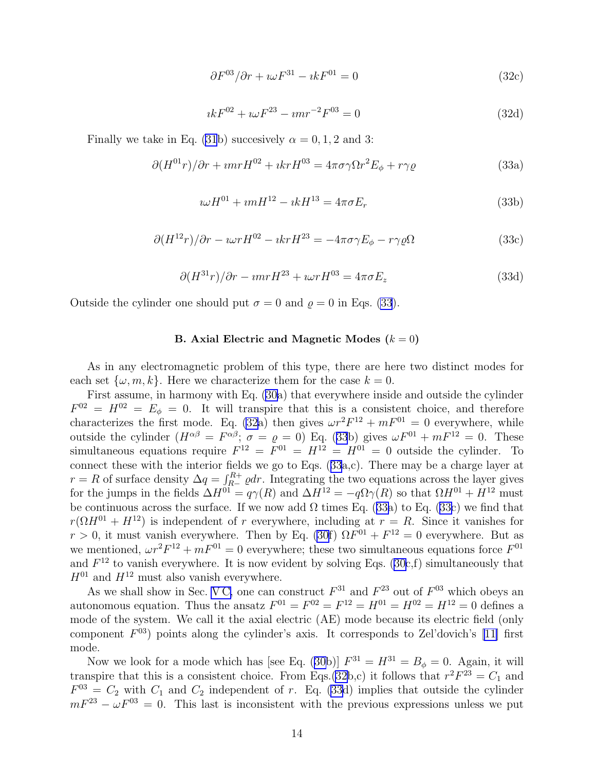$$
\partial F^{03} / \partial r + i \omega F^{31} - i k F^{01} = 0 \tag{32c}
$$

$$
ikF^{02} + i\omega F^{23} - imr^{-2}F^{03} = 0
$$
\n(32d)

<span id="page-13-0"></span>Finally we take in Eq. [\(31](#page-12-0)b) succesively  $\alpha = 0, 1, 2$  and 3:

$$
\partial (H^{01}r)/\partial r + \imath mr H^{02} + \imath kr H^{03} = 4\pi \sigma \gamma \Omega r^2 E_{\phi} + r \gamma \varrho \tag{33a}
$$

$$
i\omega H^{01} + i m H^{12} - i k H^{13} = 4\pi \sigma E_r
$$
\n(33b)

$$
\partial (H^{12}r)/\partial r - \iota \omega r H^{02} - \iota k r H^{23} = -4\pi \sigma \gamma E_{\phi} - r \gamma \varrho \Omega \tag{33c}
$$

$$
\partial (H^{31}r)/\partial r - \imath mr H^{23} + \imath \omega r H^{03} = 4\pi \sigma E_z \tag{33d}
$$

Outside the cylinder one should put  $\sigma = 0$  and  $\rho = 0$  in Eqs. (33).

### B. Axial Electric and Magnetic Modes  $(k = 0)$

As in any electromagnetic problem of this type, there are here two distinct modes for each set  $\{\omega, m, k\}$ . Here we characterize them for the case  $k = 0$ .

First assume, in harmony with Eq. [\(30a](#page-12-0)) that everywhere inside and outside the cylinder  $F^{02} = H^{02} = E_{\phi} = 0$ . It will transpire that this is a consistent choice, and therefore characterizes the first mode. Eq. [\(32](#page-12-0)a) then gives  $\omega r^2 F^{12} + mF^{01} = 0$  everywhere, while outside the cylinder  $(H^{\alpha\beta} = F^{\alpha\beta}; \sigma = \varrho = 0)$  Eq. (33b) gives  $\omega F^{01} + mF^{12} = 0$ . These simultaneous equations require  $F^{12} = F^{01} = H^{12} = H^{01} = 0$  outside the cylinder. To connect these with the interior fields we go to Eqs. (33a,c). There may be a charge layer at  $r = R$  of surface density  $\Delta q = \int_{R-}^{R+} \varrho dr$ . Integrating the two equations across the layer gives for the jumps in the fields  $\Delta H^{01} = q\gamma(R)$  and  $\Delta H^{12} = -q\Omega\gamma(R)$  so that  $\Omega H^{01} + H^{12}$  must be continuous across the surface. If we now add  $\Omega$  times Eq. (33a) to Eq. (33c) we find that  $r(\Omega H^{01} + H^{12})$  is independent of r everywhere, including at  $r = R$ . Since it vanishes for  $r > 0$ , it must vanish everywhere. Then by Eq. [\(30f](#page-12-0))  $\Omega F^{01} + F^{12} = 0$  everywhere. But as we mentioned,  $\omega r^2 F^{12} + mF^{01} = 0$  everywhere; these two simultaneous equations force  $F^{01}$ and  $F^{12}$  to vanish everywhere. It is now evident by solving Eqs. [\(30c](#page-12-0),f) simultaneously that  $H^{01}$  and  $H^{12}$  must also vanish everywhere.

As we shall show in Sec. [V C,](#page-14-0) one can construct  $F^{31}$  and  $F^{23}$  out of  $F^{03}$  which obeys an autonomous equation. Thus the ansatz  $F^{01} = F^{02} = F^{12} = H^{01} = H^{02} = H^{12} = 0$  defines a mode of the system. We call it the axial electric (AE) mode because its electric field (only component  $F^{03}$ ) points along the cylinder's axis. It corresponds to Zel'dovich's [\[11\]](#page-23-0) first mode.

Now we look for a mode which has [see Eq. [\(30b](#page-12-0))]  $F^{31} = H^{31} = B_{\phi} = 0$ . Again, it will transpire that this is a consistent choice. From Eqs.[\(32b](#page-12-0),c) it follows that  $r^2F^{23} = C_1$  and  $F^{03} = C_2$  with  $C_1$  and  $C_2$  independent of r. Eq. (33d) implies that outside the cylinder  $mF^{23} - \omega F^{03} = 0$ . This last is inconsistent with the previous expressions unless we put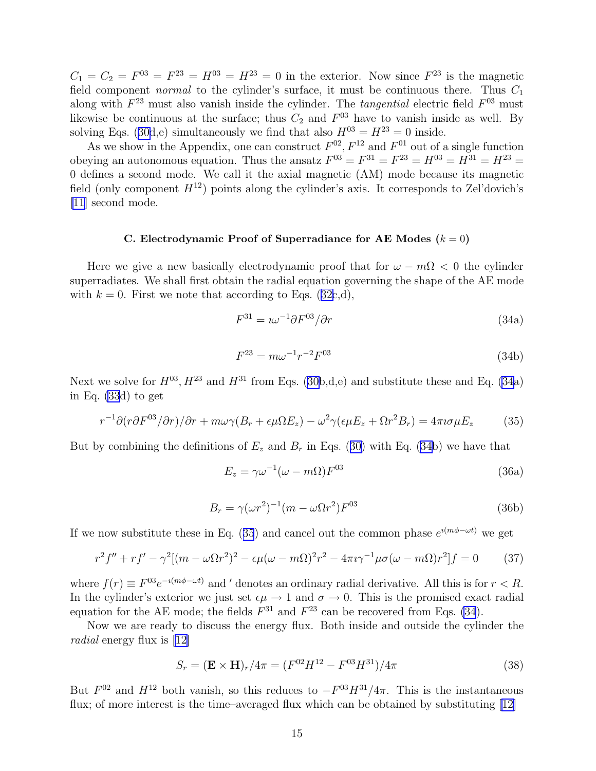<span id="page-14-0"></span> $C_1 = C_2 = F^{03} = F^{23} = H^{03} = H^{23} = 0$  in the exterior. Now since  $F^{23}$  is the magnetic field component *normal* to the cylinder's surface, it must be continuous there. Thus  $C_1$ along with  $F^{23}$  must also vanish inside the cylinder. The *tangential* electric field  $F^{03}$  must likewise be continuous at the surface; thus  $C_2$  and  $F^{03}$  have to vanish inside as well. By solving Eqs. ([30d](#page-12-0),e) simultaneously we find that also  $H^{03} = H^{23} = 0$  inside.

As we show in the Appendix, one can construct  $F^{02}$ ,  $F^{12}$  and  $F^{01}$  out of a single function obeying an autonomous equation. Thus the ansatz  $F^{03} = F^{31} = F^{23} = H^{03} = H^{31} = H^{23} = H^{31}$ 0 defines a second mode. We call it the axial magnetic (AM) mode because its magnetic field (only component  $H^{12}$ ) points along the cylinder's axis. It corresponds to Zel'dovich's [\[11](#page-23-0)] second mode.

### C. Electrodynamic Proof of Superradiance for AE Modes  $(k = 0)$

Here we give a new basically electrodynamic proof that for  $\omega - m\Omega < 0$  the cylinder superradiates. We shall first obtain the radial equation governing the shape of the AE mode with  $k = 0$ . First we note that according to Eqs. ([32c](#page-12-0),d),

$$
F^{31} = i\omega^{-1} \partial F^{03} / \partial r \tag{34a}
$$

$$
F^{23} = m\omega^{-1}r^{-2}F^{03}
$$
 (34b)

Next we solve for  $H^{03}$ ,  $H^{23}$  and  $H^{31}$  from Eqs. ([30b](#page-12-0),d,e) and substitute these and Eq. (34a) in Eq. [\(33](#page-13-0)d) to get

$$
r^{-1}\partial(r\partial F^{03}/\partial r)/\partial r + m\omega\gamma(B_r + \epsilon\mu\Omega E_z) - \omega^2\gamma(\epsilon\mu E_z + \Omega r^2 B_r) = 4\pi i\sigma\mu E_z
$$
 (35)

But by combining the definitions of  $E_z$  and  $B_r$  in Eqs. ([30](#page-12-0)) with Eq. (34b) we have that

$$
E_z = \gamma \omega^{-1} (\omega - m\Omega) F^{03}
$$
 (36a)

$$
B_r = \gamma(\omega r^2)^{-1} (m - \omega \Omega r^2) F^{03}
$$
\n
$$
(36b)
$$

If we now substitute these in Eq. (35) and cancel out the common phase  $e^{i(m\phi - \omega t)}$  we get

$$
r^{2} f'' + r f' - \gamma^{2} [(m - \omega \Omega r^{2})^{2} - \epsilon \mu (\omega - m \Omega)^{2} r^{2} - 4\pi i \gamma^{-1} \mu \sigma (\omega - m \Omega) r^{2}] f = 0
$$
 (37)

where  $f(r) \equiv F^{03}e^{-i(m\phi - \omega t)}$  and ' denotes an ordinary radial derivative. All this is for  $r < R$ . In the cylinder's exterior we just set  $\epsilon \mu \to 1$  and  $\sigma \to 0$ . This is the promised exact radial equation for the AE mode; the fields  $F^{31}$  and  $F^{23}$  can be recovered from Eqs. (34).

Now we are ready to discuss the energy flux. Both inside and outside the cylinder the radial energy flux is [\[12](#page-23-0)]

$$
S_r = (\mathbf{E} \times \mathbf{H})_r / 4\pi = (F^{02}H^{12} - F^{03}H^{31}) / 4\pi
$$
\n(38)

But  $F^{02}$  and  $H^{12}$  both vanish, so this reduces to  $-F^{03}H^{31}/4\pi$ . This is the instantaneous flux;of more interest is the time–averaged flux which can be obtained by substituting [[12\]](#page-23-0)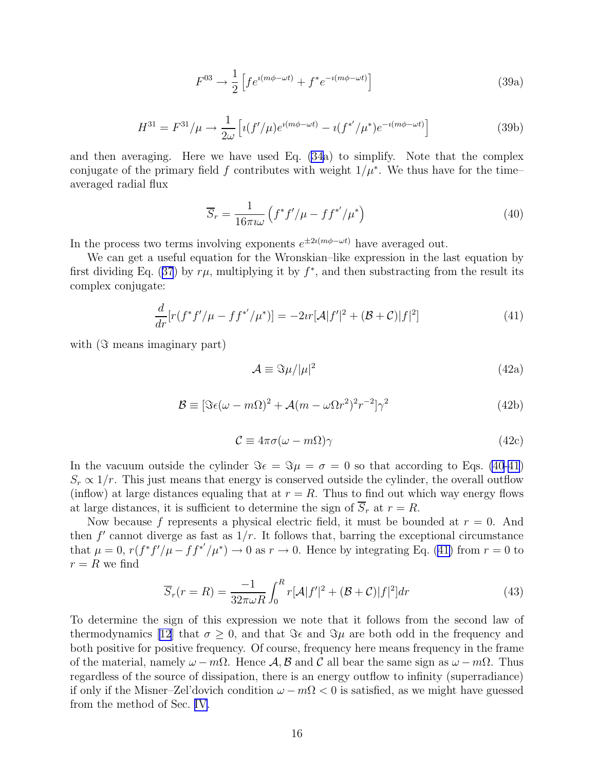$$
F^{03} \rightarrow \frac{1}{2} \left[ f e^{i(m\phi - \omega t)} + f^* e^{-i(m\phi - \omega t)} \right]
$$
\n(39a)

$$
H^{31} = F^{31}/\mu \to \frac{1}{2\omega} \left[ i(f'/\mu) e^{i(m\phi - \omega t)} - i(f^{*'}/\mu^*) e^{-i(m\phi - \omega t)} \right]
$$
(39b)

<span id="page-15-0"></span>and then averaging. Here we have used Eq. [\(34](#page-14-0)a) to simplify. Note that the complex conjugate of the primary field f contributes with weight  $1/\mu^*$ . We thus have for the time– averaged radial flux

$$
\overline{S}_r = \frac{1}{16\pi i\omega} \left( f^* f' / \mu - f f^{*'} / \mu^* \right) \tag{40}
$$

In the process two terms involving exponents  $e^{\pm 2i(m\phi - \omega t)}$  have averaged out.

We can get a useful equation for the Wronskian–like expression in the last equation by first dividing Eq. ([37](#page-14-0)) by  $r\mu$ , multiplying it by  $f^*$ , and then substracting from the result its complex conjugate:

$$
\frac{d}{dr}[r(f^*f'/\mu - ff^{*'}/\mu^*)] = -2ir[\mathcal{A}|f'|^2 + (\mathcal{B} + \mathcal{C})|f|^2]
$$
\n(41)

with  $(\Im$  means imaginary part)

$$
\mathcal{A} \equiv \Im \mu / |\mu|^2 \tag{42a}
$$

$$
\mathcal{B} \equiv [\Im \epsilon (\omega - m\Omega)^2 + \mathcal{A}(m - \omega \Omega r^2)^2 r^{-2}] \gamma^2
$$
 (42b)

$$
\mathcal{C} \equiv 4\pi\sigma(\omega - m\Omega)\gamma \tag{42c}
$$

In the vacuum outside the cylinder  $\Im \epsilon = \Im \mu = \sigma = 0$  so that according to Eqs. (40-41)  $S_r \propto 1/r$ . This just means that energy is conserved outside the cylinder, the overall outflow (inflow) at large distances equaling that at  $r = R$ . Thus to find out which way energy flows at large distances, it is sufficient to determine the sign of  $\overline{S}_r$  at  $r = R$ .

Now because f represents a physical electric field, it must be bounded at  $r = 0$ . And then  $f'$  cannot diverge as fast as  $1/r$ . It follows that, barring the exceptional circumstance that  $\mu = 0$ ,  $r(f^*f'/\mu - ff^{*'}/\mu^*) \rightarrow 0$  as  $r \rightarrow 0$ . Hence by integrating Eq. (41) from  $r = 0$  to  $r = R$  we find

$$
\overline{S}_r(r=R) = \frac{-1}{32\pi\omega R} \int_0^R r[\mathcal{A}|f'|^2 + (\mathcal{B}+\mathcal{C})|f|^2] dr \tag{43}
$$

To determine the sign of this expression we note that it follows from the second law of thermodynamics [\[12](#page-23-0)] that  $\sigma \geq 0$ , and that  $\Im \epsilon$  and  $\Im \mu$  are both odd in the frequency and both positive for positive frequency. Of course, frequency here means frequency in the frame of the material, namely  $\omega - m\Omega$ . Hence  $\mathcal{A}, \mathcal{B}$  and C all bear the same sign as  $\omega - m\Omega$ . Thus regardless of the source of dissipation, there is an energy outflow to infinity (superradiance) if only if the Misner–Zel'dovich condition  $\omega - m\Omega < 0$  is satisfied, as we might have guessed from the method of Sec. [IV.](#page-9-0)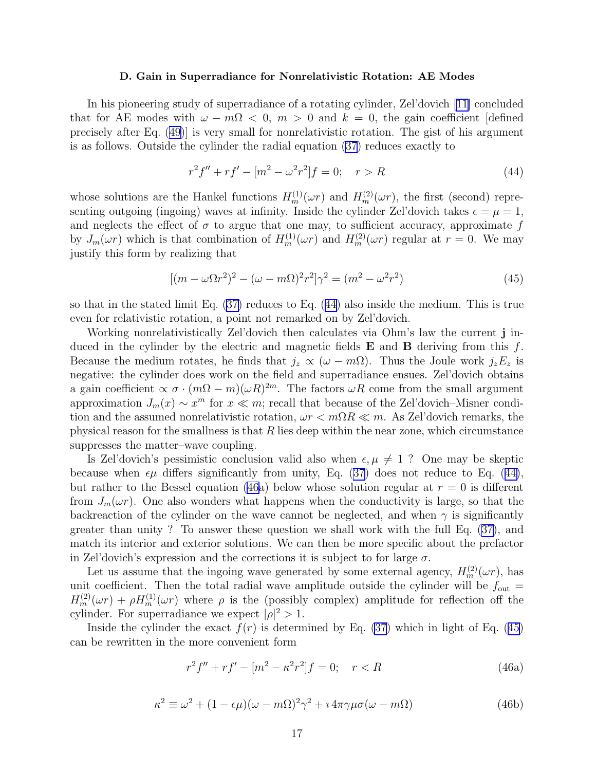### D. Gain in Superradiance for Nonrelativistic Rotation: AE Modes

<span id="page-16-0"></span>In his pioneering study of superradiance of a rotating cylinder, Zel'dovich [\[11\]](#page-23-0) concluded that for AE modes with  $\omega - m\Omega < 0$ ,  $m > 0$  and  $k = 0$ , the gain coefficient [defined] precisely after Eq. ([49\)](#page-17-0)] is very small for nonrelativistic rotation. The gist of his argument is as follows. Outside the cylinder the radial equation [\(37](#page-14-0)) reduces exactly to

$$
r^{2} f'' + r f' - [m^{2} - \omega^{2} r^{2}] f = 0; \quad r > R
$$
\n(44)

whose solutions are the Hankel functions  $H_m^{(1)}(\omega r)$  and  $H_m^{(2)}(\omega r)$ , the first (second) representing outgoing (ingoing) waves at infinity. Inside the cylinder Zel'dovich takes  $\epsilon = \mu = 1$ , and neglects the effect of  $\sigma$  to argue that one may, to sufficient accuracy, approximate f by  $J_m(\omega r)$  which is that combination of  $H_m^{(1)}(\omega r)$  and  $H_m^{(2)}(\omega r)$  regular at  $r = 0$ . We may justify this form by realizing that

$$
[(m - \omega \Omega r^2)^2 - (\omega - m\Omega)^2 r^2] \gamma^2 = (m^2 - \omega^2 r^2)
$$
\n(45)

so that in the stated limit Eq. ([37\)](#page-14-0) reduces to Eq. (44) also inside the medium. This is true even for relativistic rotation, a point not remarked on by Zel'dovich.

Working nonrelativistically Zel'dovich then calculates via Ohm's law the current j induced in the cylinder by the electric and magnetic fields  $E$  and  $B$  deriving from this  $f$ . Because the medium rotates, he finds that  $j_z \propto (\omega - m\Omega)$ . Thus the Joule work  $j_z E_z$  is negative: the cylinder does work on the field and superradiance ensues. Zel'dovich obtains a gain coefficient  $\propto \sigma \cdot (m\Omega - m)(\omega R)^{2m}$ . The factors  $\omega R$  come from the small argument approximation  $J_m(x) \sim x^m$  for  $x \ll m$ ; recall that because of the Zel'dovich–Misner condition and the assumed nonrelativistic rotation,  $\omega r < m\Omega R \ll m$ . As Zel'dovich remarks, the physical reason for the smallness is that  $R$  lies deep within the near zone, which circumstance suppresses the matter–wave coupling.

Is Zel'dovich's pessimistic conclusion valid also when  $\epsilon, \mu \neq 1$  ? One may be skeptic because when  $\epsilon \mu$  differs significantly from unity, Eq. [\(37\)](#page-14-0) does not reduce to Eq. (44), but rather to the Bessel equation (46a) below whose solution regular at  $r = 0$  is different from  $J_m(\omega r)$ . One also wonders what happens when the conductivity is large, so that the backreaction of the cylinder on the wave cannot be neglected, and when  $\gamma$  is significantly greater than unity ? To answer these question we shall work with the full Eq. ([37\)](#page-14-0), and match its interior and exterior solutions. We can then be more specific about the prefactor in Zel'dovich's expression and the corrections it is subject to for large  $\sigma$ .

Let us assume that the ingoing wave generated by some external agency,  $H_m^{(2)}(\omega r)$ , has unit coefficient. Then the total radial wave amplitude outside the cylinder will be  $f_{\text{out}} =$  $H_m^{(2)}(\omega r) + \rho H_m^{(1)}(\omega r)$  where  $\rho$  is the (possibly complex) amplitude for reflection off the cylinder. For superradiance we expect  $|\rho|^2 > 1$ .

Inside the cylinder the exact  $f(r)$  is determined by Eq. [\(37](#page-14-0)) which in light of Eq. (45) can be rewritten in the more convenient form

$$
r^{2} f'' + r f' - [m^{2} - \kappa^{2} r^{2}] f = 0; \quad r < R
$$
\n(46a)

$$
\kappa^2 \equiv \omega^2 + (1 - \epsilon \mu)(\omega - m\Omega)^2 \gamma^2 + i 4\pi \gamma \mu \sigma(\omega - m\Omega)
$$
 (46b)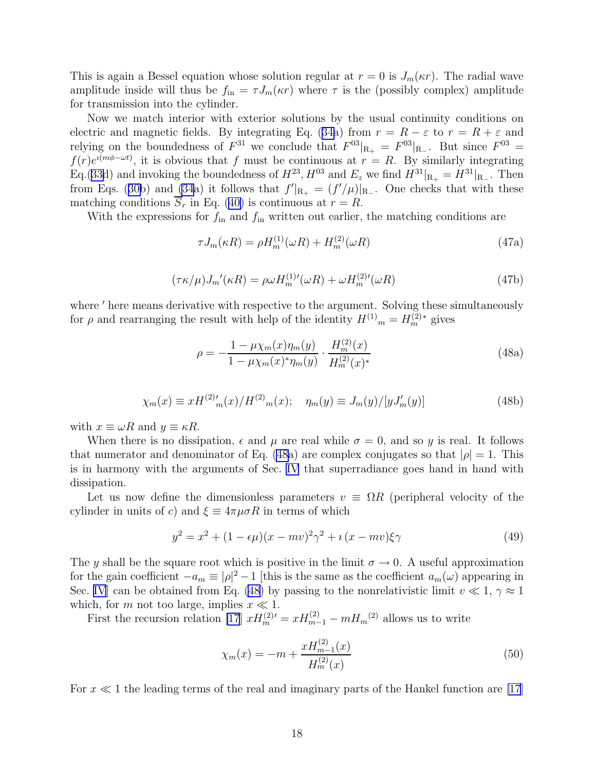<span id="page-17-0"></span>This is again a Bessel equation whose solution regular at  $r = 0$  is  $J_m(\kappa r)$ . The radial wave amplitude inside will thus be  $f_{\rm in} = \tau J_m(\kappa r)$  where  $\tau$  is the (possibly complex) amplitude for transmission into the cylinder.

Now we match interior with exterior solutions by the usual continuity conditions on electric and magnetic fields. By integrating Eq. ([34a](#page-14-0)) from  $r = R - \varepsilon$  to  $r = R + \varepsilon$  and relying on the boundedness of  $F^{31}$  we conclude that  $F^{03}|_{R_+} = F^{03}|_{R_-}$ . But since  $F^{03} =$  $f(r)e^{i(m\phi-\omega t)}$ , it is obvious that f must be continuous at  $r=R$ . By similarly integrating Eq.([33d](#page-13-0)) and invoking the boundedness of  $H^{23}$ ,  $H^{03}$  and  $E_z$  we find  $H^{31}|_{\mathbf{R}_+} = H^{31}|_{\mathbf{R}_-}$ . Then from Eqs. ([30b](#page-12-0)) and [\(34](#page-14-0)a) it follows that  $f'|_{R_+} = (f'/\mu)|_{R_-}$ . One checks that with these matching conditions  $\overline{S}_r$  in Eq. ([40\)](#page-15-0) is continuous at  $r = R$ .

With the expressions for  $f_{\text{in}}$  and  $f_{\text{in}}$  written out earlier, the matching conditions are

$$
\tau J_m(\kappa R) = \rho H_m^{(1)}(\omega R) + H_m^{(2)}(\omega R) \tag{47a}
$$

$$
(\tau \kappa/\mu)J_m'(\kappa R) = \rho \omega H_m^{(1)'}(\omega R) + \omega H_m^{(2)'}(\omega R)
$$
\n(47b)

where  $'$  here means derivative with respective to the argument. Solving these simultaneously for  $\rho$  and rearranging the result with help of the identity  $H^{(1)}$ <sub>m</sub> =  $H^{(2)*}_m$  gives

$$
\rho = -\frac{1 - \mu \chi_m(x)\eta_m(y)}{1 - \mu \chi_m(x)^* \eta_m(y)} \cdot \frac{H_m^{(2)}(x)}{H_m^{(2)}(x)^*}
$$
(48a)

$$
\chi_m(x) \equiv xH^{(2)'}_{m}(x)/H^{(2)}_{m}(x); \quad \eta_m(y) \equiv J_m(y)/[yJ'_m(y)] \tag{48b}
$$

with  $x \equiv \omega R$  and  $y \equiv \kappa R$ .

When there is no dissipation,  $\epsilon$  and  $\mu$  are real while  $\sigma = 0$ , and so y is real. It follows that numerator and denominator of Eq. (48a) are complex conjugates so that  $|\rho| = 1$ . This is in harmony with the arguments of Sec. [IV](#page-9-0) that superradiance goes hand in hand with dissipation.

Let us now define the dimensionless parameters  $v = \Omega R$  (peripheral velocity of the cylinder in units of c) and  $\xi \equiv 4\pi\mu\sigma R$  in terms of which

$$
y^{2} = x^{2} + (1 - \epsilon \mu)(x - mv)^{2}\gamma^{2} + i(x - mv)\xi\gamma
$$
\n(49)

The y shall be the square root which is positive in the limit  $\sigma \to 0$ . A useful approximation for the gain coefficient  $-a_m \equiv |\rho|^2 - 1$  [this is the same as the coefficient  $a_m(\omega)$  appearing in Sec. [IV](#page-9-0)] can be obtained from Eq. (48) by passing to the nonrelativistic limit  $v \ll 1$ ,  $\gamma \approx 1$ which, for m not too large, implies  $x \ll 1$ .

First the recursion relation [\[17](#page-23-0)]  $xH_m^{(2)} = xH_{m-1}^{(2)} - mH_m^{(2)}$  allows us to write

$$
\chi_m(x) = -m + \frac{x H_{m-1}^{(2)}(x)}{H_m^{(2)}(x)}
$$
(50)

For  $x \ll 1$  the leading terms of the real and imaginary parts of the Hankel function are [\[17](#page-23-0)]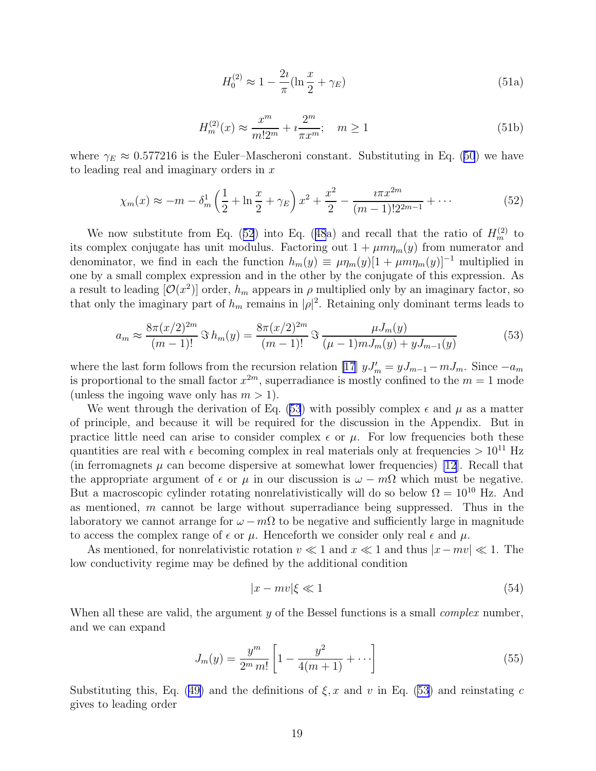$$
H_0^{(2)} \approx 1 - \frac{2i}{\pi} (\ln \frac{x}{2} + \gamma_E)
$$
 (51a)

$$
H_m^{(2)}(x) \approx \frac{x^m}{m!2^m} + i\frac{2^m}{\pi x^m}; \quad m \ge 1
$$
\n(51b)

<span id="page-18-0"></span>where  $\gamma_E \approx 0.577216$  is the Euler–Mascheroni constant. Substituting in Eq. ([50](#page-17-0)) we have to leading real and imaginary orders in  $x$ 

$$
\chi_m(x) \approx -m - \delta_m^1 \left(\frac{1}{2} + \ln \frac{x}{2} + \gamma_E\right) x^2 + \frac{x^2}{2} - \frac{i\pi x^{2m}}{(m-1)!2^{2m-1}} + \cdots
$$
 (52)

We now substitute from Eq. (52) into Eq. ([48](#page-17-0)a) and recall that the ratio of  $H_m^{(2)}$  to its complex conjugate has unit modulus. Factoring out  $1 + \mu m \eta_m(y)$  from numerator and denominator, we find in each the function  $h_m(y) \equiv \mu \eta_m(y)[1 + \mu m \eta_m(y)]^{-1}$  multiplied in one by a small complex expression and in the other by the conjugate of this expression. As a result to leading  $[\mathcal{O}(x^2)]$  order,  $h_m$  appears in  $\rho$  multiplied only by an imaginary factor, so that only the imaginary part of  $h_m$  remains in  $|\rho|^2$ . Retaining only dominant terms leads to

$$
a_m \approx \frac{8\pi (x/2)^{2m}}{(m-1)!} \Im h_m(y) = \frac{8\pi (x/2)^{2m}}{(m-1)!} \Im \frac{\mu J_m(y)}{(\mu-1) m J_m(y) + y J_{m-1}(y)}
$$
(53)

where the last form follows from the recursion relation [\[17](#page-23-0)]  $yJ'_m = yJ_{m-1} - mJ_m$ . Since  $-a_m$ is proportional to the small factor  $x^{2m}$ , superradiance is mostly confined to the  $m = 1$  mode (unless the ingoing wave only has  $m > 1$ ).

We went through the derivation of Eq. (53) with possibly complex  $\epsilon$  and  $\mu$  as a matter of principle, and because it will be required for the discussion in the Appendix. But in practice little need can arise to consider complex  $\epsilon$  or  $\mu$ . For low frequencies both these quantities are real with  $\epsilon$  becoming complex in real materials only at frequencies  $> 10^{11}$  Hz (in ferromagnets  $\mu$  can become dispersive at somewhat lower frequencies) [\[12](#page-23-0)]. Recall that the appropriate argument of  $\epsilon$  or  $\mu$  in our discussion is  $\omega - m\Omega$  which must be negative. But a macroscopic cylinder rotating nonrelativistically will do so below  $\Omega = 10^{10}$  Hz. And as mentioned, m cannot be large without superradiance being suppressed. Thus in the laboratory we cannot arrange for  $\omega - m\Omega$  to be negative and sufficiently large in magnitude to access the complex range of  $\epsilon$  or  $\mu$ . Henceforth we consider only real  $\epsilon$  and  $\mu$ .

As mentioned, for nonrelativistic rotation  $v \ll 1$  and  $x \ll 1$  and thus  $|x-mv| \ll 1$ . The low conductivity regime may be defined by the additional condition

$$
|x - mv|\xi \ll 1\tag{54}
$$

When all these are valid, the argument y of the Bessel functions is a small *complex* number, and we can expand

$$
J_m(y) = \frac{y^m}{2^m m!} \left[ 1 - \frac{y^2}{4(m+1)} + \cdots \right]
$$
 (55)

Substituting this, Eq. ([49\)](#page-17-0) and the definitions of  $\xi$ , x and v in Eq. (53) and reinstating c gives to leading order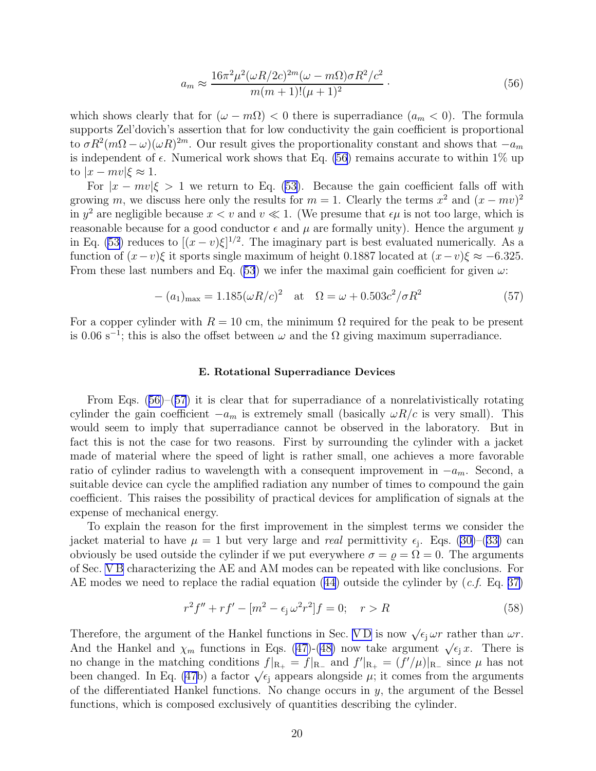$$
a_m \approx \frac{16\pi^2 \mu^2 (\omega R/2c)^{2m} (\omega - m\Omega)\sigma R^2/c^2}{m(m+1)!(\mu+1)^2}.
$$
\n(56)

<span id="page-19-0"></span>which shows clearly that for  $(\omega - m\Omega) < 0$  there is superradiance  $(a_m < 0)$ . The formula supports Zel'dovich's assertion that for low conductivity the gain coefficient is proportional to  $\sigma R^2(m\Omega - \omega)(\omega R)^{2m}$ . Our result gives the proportionality constant and shows that  $-a_m$ is independent of  $\epsilon$ . Numerical work shows that Eq. (56) remains accurate to within 1% up to  $|x - mv| \xi \approx 1$ .

For  $|x - mv|\xi > 1$  we return to Eq. [\(53\)](#page-18-0). Because the gain coefficient falls off with growing m, we discuss here only the results for  $m = 1$ . Clearly the terms  $x^2$  and  $(x - mv)^2$ in  $y^2$  are negligible because  $x < v$  and  $v \ll 1$ . (We presume that  $\epsilon \mu$  is not too large, which is reasonable because for a good conductor  $\epsilon$  and  $\mu$  are formally unity). Hence the argument y in Eq. [\(53\)](#page-18-0) reduces to  $[(x-v)\xi]^{1/2}$ . The imaginary part is best evaluated numerically. As a function of  $(x-v)\xi$  it sports single maximum of height 0.1887 located at  $(x-v)\xi \approx -6.325$ . From these last numbers and Eq. ([53](#page-18-0)) we infer the maximal gain coefficient for given  $\omega$ :

$$
-(a_1)_{\text{max}} = 1.185(\omega R/c)^2 \quad \text{at} \quad \Omega = \omega + 0.503c^2/\sigma R^2 \tag{57}
$$

For a copper cylinder with  $R = 10$  cm, the minimum  $\Omega$  required for the peak to be present is 0.06 s<sup>-1</sup>; this is also the offset between  $\omega$  and the  $\Omega$  giving maximum superradiance.

### E. Rotational Superradiance Devices

From Eqs.  $(56)$ – $(57)$  it is clear that for superradiance of a nonrelativistically rotating cylinder the gain coefficient  $-a_m$  is extremely small (basically  $\omega R/c$  is very small). This would seem to imply that superradiance cannot be observed in the laboratory. But in fact this is not the case for two reasons. First by surrounding the cylinder with a jacket made of material where the speed of light is rather small, one achieves a more favorable ratio of cylinder radius to wavelength with a consequent improvement in  $-a_m$ . Second, a suitable device can cycle the amplified radiation any number of times to compound the gain coefficient. This raises the possibility of practical devices for amplification of signals at the expense of mechanical energy.

To explain the reason for the first improvement in the simplest terms we consider the jacket material to have  $\mu = 1$  but very large and *real* permittivity  $\epsilon_j$ . Eqs. [\(30\)](#page-12-0)–([33\)](#page-13-0) can obviously be used outside the cylinder if we put everywhere  $\sigma = \rho = \Omega = 0$ . The arguments of Sec. [V B](#page-13-0) characterizing the AE and AM modes can be repeated with like conclusions. For AE modes we need to replace the radial equation  $(44)$  outside the cylinder by  $(c.f.$  Eq. [37\)](#page-14-0)

$$
r^{2} f'' + r f' - [m^{2} - \epsilon_{j} \omega^{2} r^{2}] f = 0; \quad r > R
$$
\n(58)

Therefore, the argument of the Hankel functions in Sec. VD is now  $\sqrt{\epsilon_j} \omega r$  rather than  $\omega r$ . And the Hankel and  $\chi_m$  functions in Eqs. [\(47\)](#page-16-0)-[\(48\)](#page-17-0) now take argument  $\sqrt{\epsilon_j x}$ . There is no change in the matching conditions  $f|_{R_+} = f|_{R_-}$  and  $f'|_{R_+} = (f'/\mu)|_{R_-}$  since  $\mu$  has not been changed. In Eq. [\(47](#page-16-0)b) a factor  $\sqrt{\epsilon_j}$  appears alongside  $\mu$ ; it comes from the arguments of the differentiated Hankel functions. No change occurs in  $y$ , the argument of the Bessel functions, which is composed exclusively of quantities describing the cylinder.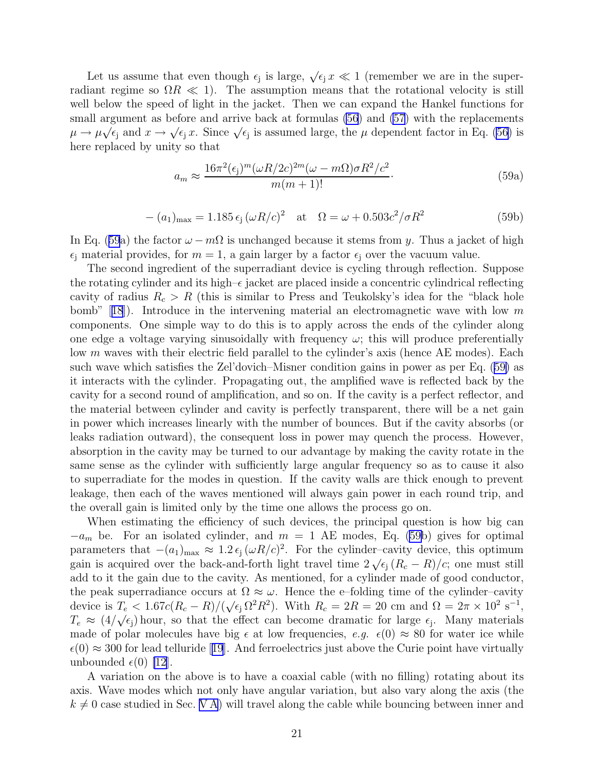Let us assume that even though  $\epsilon_j$  is large,  $\sqrt{\epsilon_j x} \ll 1$  (remember we are in the superradiant regime so  $\Omega R \ll 1$ ). The assumption means that the rotational velocity is still well below the speed of light in the jacket. Then we can expand the Hankel functions for small argument as before and arrive back at formulas [\(56](#page-19-0)) and [\(57](#page-19-0)) with the replacements  $\mu \to \mu \sqrt{\epsilon_j}$  and  $x \to \sqrt{\epsilon_j} x$ . Since  $\sqrt{\epsilon_j}$  is assumed large, the  $\mu$  dependent factor in Eq. [\(56](#page-19-0)) is here replaced by unity so that

$$
a_m \approx \frac{16\pi^2(\epsilon_j)^m(\omega R/2c)^{2m}(\omega - m\Omega)\sigma R^2/c^2}{m(m+1)!}.
$$
\n(59a)

$$
-(a_1)_{\text{max}} = 1.185 \epsilon_j (\omega R/c)^2 \quad \text{at} \quad \Omega = \omega + 0.503c^2/\sigma R^2 \tag{59b}
$$

In Eq. ([59](#page-19-0)a) the factor  $\omega - m\Omega$  is unchanged because it stems from y. Thus a jacket of high  $\epsilon_i$  material provides, for  $m = 1$ , a gain larger by a factor  $\epsilon_i$  over the vacuum value.

The second ingredient of the superradiant device is cycling through reflection. Suppose the rotating cylinder and its high– $\epsilon$  jacket are placed inside a concentric cylindrical reflecting cavity of radius  $R_c > R$  (this is similar to Press and Teukolsky's idea for the "black hole bomb"[[18](#page-23-0)]). Introduce in the intervening material an electromagnetic wave with low m components. One simple way to do this is to apply across the ends of the cylinder along one edge a voltage varying sinusoidally with frequency  $\omega$ ; this will produce preferentially low m waves with their electric field parallel to the cylinder's axis (hence AE modes). Each such wave which satisfies the Zel'dovich–Misner condition gains in power as per Eq. ([59\)](#page-19-0) as it interacts with the cylinder. Propagating out, the amplified wave is reflected back by the cavity for a second round of amplification, and so on. If the cavity is a perfect reflector, and the material between cylinder and cavity is perfectly transparent, there will be a net gain in power which increases linearly with the number of bounces. But if the cavity absorbs (or leaks radiation outward), the consequent loss in power may quench the process. However, absorption in the cavity may be turned to our advantage by making the cavity rotate in the same sense as the cylinder with sufficiently large angular frequency so as to cause it also to superradiate for the modes in question. If the cavity walls are thick enough to prevent leakage, then each of the waves mentioned will always gain power in each round trip, and the overall gain is limited only by the time one allows the process go on.

When estimating the efficiency of such devices, the principal question is how big can  $-a_m$  be. For an isolated cylinder, and  $m = 1$  AE modes, Eq. ([59b](#page-19-0)) gives for optimal parameters that  $-(a_1)_{\text{max}} \approx 1.2 \epsilon_j (\omega R/c)^2$ . For the cylinder–cavity device, this optimum gain is acquired over the back-and-forth light travel time  $2\sqrt{\epsilon_j (R_c - R)/c}$ ; one must still add to it the gain due to the cavity. As mentioned, for a cylinder made of good conductor, the peak superradiance occurs at  $\Omega \approx \omega$ . Hence the e-folding time of the cylinder–cavity device is  $T_e < 1.67c(R_c - R)/(\sqrt{\epsilon_1 \Omega^2 R^2})$ . With  $R_c = 2R = 20$  cm and  $\Omega = 2\pi \times 10^2 \text{ s}^{-1}$ ,  $T_e \approx (4/\sqrt{\epsilon_i})$  hour, so that the effect can become dramatic for large  $\epsilon_j$ . Many materials made of polar molecules have big  $\epsilon$  at low frequencies, e.g.  $\epsilon(0) \approx 80$  for water ice while  $\epsilon(0) \approx 300$  $\epsilon(0) \approx 300$  $\epsilon(0) \approx 300$  for lead telluride [[19](#page-23-0)]. And ferroelectrics just above the Curie point have virtually unbounded  $\epsilon(0)$  [\[12](#page-23-0)].

A variation on the above is to have a coaxial cable (with no filling) rotating about its axis. Wave modes which not only have angular variation, but also vary along the axis (the  $k \neq 0$  case studied in Sec. [V A](#page-11-0)) will travel along the cable while bouncing between inner and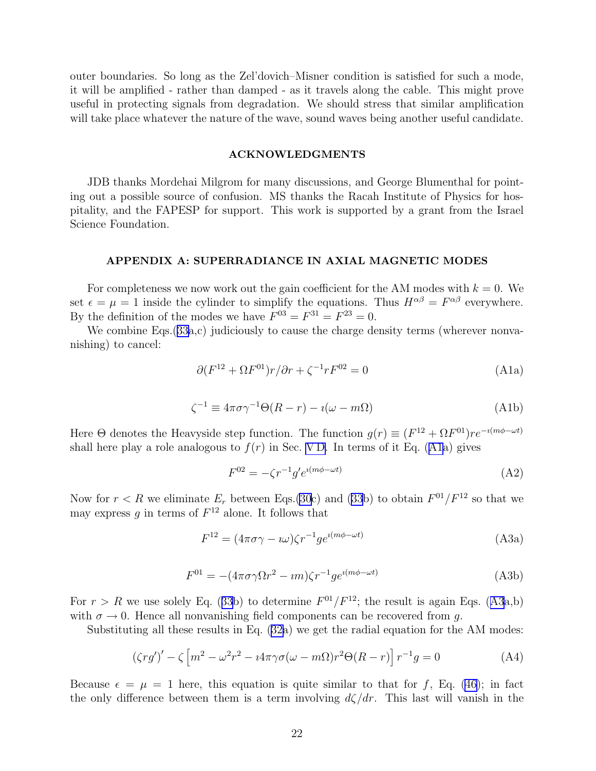<span id="page-21-0"></span>outer boundaries. So long as the Zel'dovich–Misner condition is satisfied for such a mode, it will be amplified - rather than damped - as it travels along the cable. This might prove useful in protecting signals from degradation. We should stress that similar amplification will take place whatever the nature of the wave, sound waves being another useful candidate.

## ACKNOWLEDGMENTS

JDB thanks Mordehai Milgrom for many discussions, and George Blumenthal for pointing out a possible source of confusion. MS thanks the Racah Institute of Physics for hospitality, and the FAPESP for support. This work is supported by a grant from the Israel Science Foundation.

### APPENDIX A: SUPERRADIANCE IN AXIAL MAGNETIC MODES

For completeness we now work out the gain coefficient for the AM modes with  $k = 0$ . We set  $\epsilon = \mu = 1$  inside the cylinder to simplify the equations. Thus  $H^{\alpha\beta} = F^{\alpha\beta}$  everywhere. By the definition of the modes we have  $F^{03} = F^{31} = F^{23} = 0$ .

We combine Eqs.([33a](#page-13-0),c) judiciously to cause the charge density terms (wherever nonvanishing) to cancel:

$$
\partial (F^{12} + \Omega F^{01})r/\partial r + \zeta^{-1}rF^{02} = 0
$$
 (A1a)

$$
\zeta^{-1} \equiv 4\pi\sigma\gamma^{-1}\Theta(R-r) - i(\omega - m\Omega) \tag{A1b}
$$

Here  $\Theta$  denotes the Heavyside step function. The function  $g(r) \equiv (F^{12} + \Omega F^{01})re^{-i(m\phi - \omega t)}$ shall here play a role analogous to  $f(r)$  in Sec. VD. In terms of it Eq. (A1a) gives

$$
F^{02} = -\zeta r^{-1} g' e^{i(m\phi - \omega t)}
$$
\n(A2)

Now for  $r < R$  we eliminate  $E_r$  between Eqs.[\(30](#page-12-0)c) and [\(33b](#page-13-0)) to obtain  $F^{01}/F^{12}$  so that we may express g in terms of  $F^{12}$  alone. It follows that

$$
F^{12} = (4\pi\sigma\gamma - i\omega)\zeta r^{-1}g e^{i(m\phi - \omega t)}
$$
(A3a)

$$
F^{01} = -(4\pi\sigma\gamma\Omega r^2 - im)\zeta r^{-1}g e^{i(m\phi - \omega t)}
$$
(A3b)

For  $r > R$  we use solely Eq. ([33](#page-13-0)b) to determine  $F^{01}/F^{12}$ ; the result is again Eqs. (A3a,b) with  $\sigma \to 0$ . Hence all nonvanishing field components can be recovered from q.

Substituting all these results in Eq. ([32a](#page-12-0)) we get the radial equation for the AM modes:

$$
(\zeta rg')' - \zeta \left[ m^2 - \omega^2 r^2 - i4\pi\gamma\sigma(\omega - m\Omega)r^2\Theta(R - r) \right] r^{-1}g = 0
$$
 (A4)

Because  $\epsilon = \mu = 1$  here, this equation is quite similar to that for f, Eq. [\(46\)](#page-16-0); in fact the only difference between them is a term involving  $d\zeta/dr$ . This last will vanish in the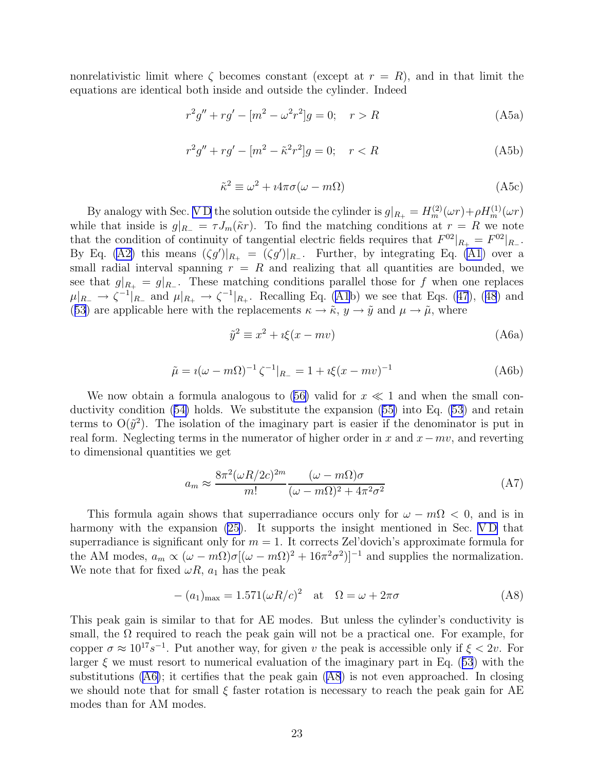nonrelativistic limit where  $\zeta$  becomes constant (except at  $r = R$ ), and in that limit the equations are identical both inside and outside the cylinder. Indeed

$$
r^{2}g'' + rg' - [m^{2} - \omega^{2}r^{2}]g = 0; \quad r > R
$$
\n(A5a)

$$
r^{2}g'' + rg' - [m^{2} - \tilde{\kappa}^{2}r^{2}]g = 0; \quad r < R
$$
\n(A5b)

$$
\tilde{\kappa}^2 \equiv \omega^2 + i4\pi\sigma(\omega - m\Omega) \tag{A5c}
$$

By analogy with Sec. VD the solution outside the cylinder is  $g|_{R_+} = H_m^{(2)}(\omega r) + \rho H_m^{(1)}(\omega r)$ while that inside is  $g|_{R_-} = \tau J_m(\tilde{\kappa}r)$ . To find the matching conditions at  $r = R$  we note that the condition of continuity of tangential electric fields requires that  $F^{02}|_{R_+} = F^{02}|_{R_-}$ . By Eq. [\(A2\)](#page-21-0) this means  $(\zeta g')|_{R_+} = (\zeta g')|_{R_-}$ . Further, by integrating Eq. [\(A1](#page-21-0)) over a small radial interval spanning  $r = R$  and realizing that all quantities are bounded, we see that  $g|_{R_+} = g|_{R_-}$ . These matching conditions parallel those for f when one replaces  $\mu|_{R_+} \to \zeta^{-1}|_{R_+}$  and  $\mu|_{R_+} \to \zeta^{-1}|_{R_+}$ . Recalling Eq. ([A1](#page-21-0)b) we see that Eqs. ([47](#page-16-0)), ([48](#page-17-0)) and ([53](#page-18-0)) are applicable here with the replacements  $\kappa \to \tilde{\kappa}$ ,  $y \to \tilde{y}$  and  $\mu \to \tilde{\mu}$ , where

$$
\tilde{y}^2 \equiv x^2 + i\xi(x - mv) \tag{A6a}
$$

$$
\tilde{\mu} = i(\omega - m\Omega)^{-1} \zeta^{-1}|_{R_{-}} = 1 + i\xi(x - mv)^{-1}
$$
\n(A6b)

We now obtain a formula analogous to  $(56)$  $(56)$  valid for  $x \ll 1$  and when the small conductivity condition ([54\)](#page-18-0) holds. We substitute the expansion ([55\)](#page-18-0) into Eq. [\(53](#page-18-0)) and retain terms to  $O(\tilde{y}^2)$ . The isolation of the imaginary part is easier if the denominator is put in real form. Neglecting terms in the numerator of higher order in x and  $x-mv$ , and reverting to dimensional quantities we get

$$
a_m \approx \frac{8\pi^2 (\omega R/2c)^{2m}}{m!} \frac{(\omega - m\Omega)\sigma}{(\omega - m\Omega)^2 + 4\pi^2 \sigma^2}
$$
 (A7)

This formula again shows that superradiance occurs only for  $\omega - m\Omega < 0$ , and is in harmony with the expansion  $(25)$ . It supports the insight mentioned in Sec. VD that superradiance is significant only for  $m = 1$ . It corrects Zel'dovich's approximate formula for the AM modes,  $a_m \propto (\omega - m\Omega)\sigma[(\omega - m\Omega)^2 + 16\pi^2\sigma^2)]^{-1}$  and supplies the normalization. We note that for fixed  $\omega R$ ,  $a_1$  has the peak

$$
-(a_1)_{\text{max}} = 1.571(\omega R/c)^2 \quad \text{at} \quad \Omega = \omega + 2\pi\sigma \tag{A8}
$$

This peak gain is similar to that for AE modes. But unless the cylinder's conductivity is small, the  $\Omega$  required to reach the peak gain will not be a practical one. For example, for copper  $\sigma \approx 10^{17} s^{-1}$ . Put another way, for given v the peak is accessible only if  $\xi < 2v$ . For larger  $\xi$  we must resort to numerical evaluation of the imaginary part in Eq. ([53](#page-18-0)) with the substitutions (A6); it certifies that the peak gain (A8) is not even approached. In closing we should note that for small  $\xi$  faster rotation is necessary to reach the peak gain for AE modes than for AM modes.